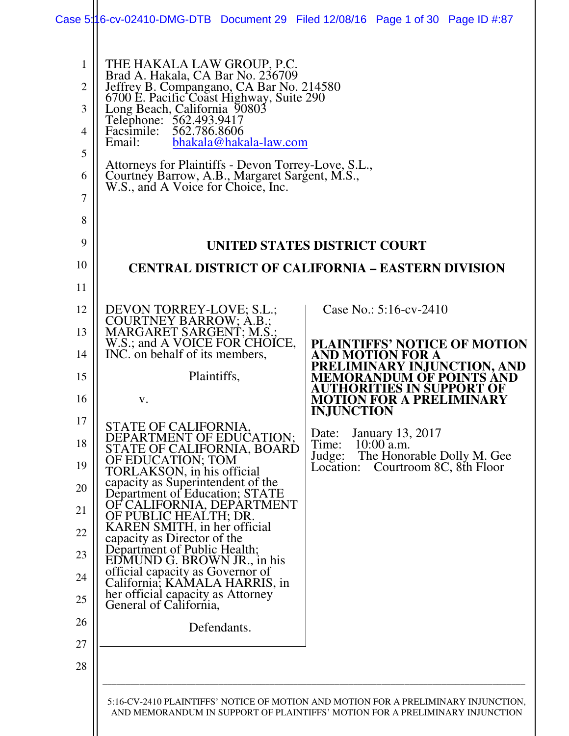| $\mathbf{1}$   | THE HAKALA LAW GROUP, P.C.                                                                                                            | Case 5:16-cv-02410-DMG-DTB Document 29 Filed 12/08/16 Page 1 of 30 Page ID #:87    |
|----------------|---------------------------------------------------------------------------------------------------------------------------------------|------------------------------------------------------------------------------------|
| $\overline{2}$ | Brad A. Hakala, CA Bar No. 236709                                                                                                     |                                                                                    |
| 3              | Jeffrey B. Compangano, CA Bar No. 214580<br>6700 E. Pacific Coast Highway, Suite 290<br>Long Beach, California 90803                  |                                                                                    |
| 4              | Telephone: 562.493.9417<br>Facsimile: 562.786.8606<br>Facsimile:<br>bhakala@hakala-law.com<br>Email:                                  |                                                                                    |
| 5              |                                                                                                                                       |                                                                                    |
| 6              | Attorneys for Plaintiffs - Devon Torrey-Love, S.L., Courtney Barrow, A.B., Margaret Sargent, M.S., W.S., and A Voice for Choice, Inc. |                                                                                    |
| $\overline{7}$ |                                                                                                                                       |                                                                                    |
| 8              |                                                                                                                                       |                                                                                    |
| 9              |                                                                                                                                       | UNITED STATES DISTRICT COURT                                                       |
| 10             |                                                                                                                                       | <b>CENTRAL DISTRICT OF CALIFORNIA - EASTERN DIVISION</b>                           |
| 11             |                                                                                                                                       |                                                                                    |
| 12<br>13       | DEVON TORREY-LOVE; S.L.;                                                                                                              | Case No.: $5:16$ -cv-2410                                                          |
| 14             | COURTNEY BARROW; A.B.;<br>MARGARET SARGENT; M.S.;<br>W.S.; and A VOICE FOR CHOICE,<br>INC. on behalf of its members,                  | <b>PLAINTIFFS' NOTICE OF MOTION</b><br>AND MOTION FOR A                            |
| 15             | Plaintiffs,                                                                                                                           | VARY INJUNCTION, AND<br>VTS AND<br>M OF POIN                                       |
| 16             | V.                                                                                                                                    | <b>ES IN SU</b><br><b>FOR A PRELIMINARY</b><br><b>INJUNCTION</b>                   |
| 17             | STATE OF CALIFORNIA,                                                                                                                  | <b>January 13, 2017</b><br>Date:                                                   |
| 18             | DEPARTMENT OF EDUCATION;<br>STATE OF CALIFORNIA, BOARD<br>OF EDUCATION; TOM<br>TORLAKSON, in his official                             | Time:<br>$10:00$ a.m.<br>The Honorable Dolly M. Gee<br>Judge:                      |
| 19             | capacity as Superintendent of the                                                                                                     | Courtroom 8C, 8th Floor<br>Location:                                               |
| 20             | Department of Education; STATE<br>OF CALIFORNIA, DEPARTMENT                                                                           |                                                                                    |
| 21<br>22       | OF PUBLIC HEALTH; DR.<br>KAREN SMITH, in her official                                                                                 |                                                                                    |
| 23             | capacity as Director of the<br>Department of Public Health;<br>EDMUND G. BROWN JR., in his                                            |                                                                                    |
| 24             | official capacity as Governor of                                                                                                      |                                                                                    |
| 25             | California; KAMALA HARRIS, in<br>her official capacity as Attorney<br>General of California,                                          |                                                                                    |
| 26             | Defendants.                                                                                                                           |                                                                                    |
| 27             |                                                                                                                                       |                                                                                    |
| 28             |                                                                                                                                       |                                                                                    |
|                |                                                                                                                                       | 5:16-CV-2410 PLAINTIFFS' NOTICE OF MOTION AND MOTION FOR A PRELIMINARY INJUNCTION, |
|                |                                                                                                                                       | AND MEMORANDUM IN SUPPORT OF PLAINTIFFS' MOTION FOR A PRELIMINARY INJUNCTION       |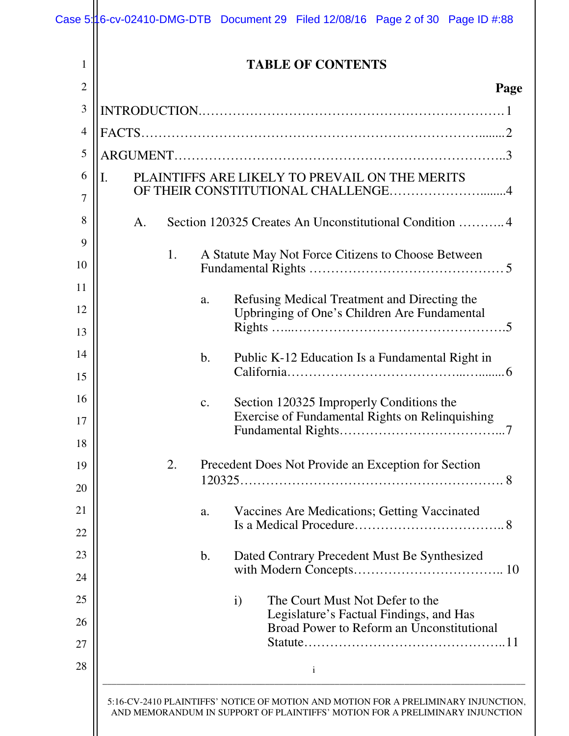| $\overline{2}$       |    |    |                | Page                                                                                                |
|----------------------|----|----|----------------|-----------------------------------------------------------------------------------------------------|
| 3                    |    |    |                |                                                                                                     |
| $\overline{4}$       |    |    |                |                                                                                                     |
| 5                    |    |    |                |                                                                                                     |
| 6                    | Ι. |    |                | PLAINTIFFS ARE LIKELY TO PREVAIL ON THE MERITS<br>OF THEIR CONSTITUTIONAL CHALLENGE4                |
| 7<br>8               | A. |    |                | Section 120325 Creates An Unconstitutional Condition 4                                              |
| 9                    |    |    |                |                                                                                                     |
| 10                   |    | 1. |                | A Statute May Not Force Citizens to Choose Between                                                  |
| 11                   |    |    | a.             | Refusing Medical Treatment and Directing the                                                        |
| 12<br>13             |    |    |                | Upbringing of One's Children Are Fundamental                                                        |
| 14                   |    |    | $\mathbf{b}$ . | Public K-12 Education Is a Fundamental Right in                                                     |
| 15<br>16<br>17<br>18 |    |    | $\mathbf{c}$ . | Section 120325 Improperly Conditions the<br>Exercise of Fundamental Rights on Relinquishing         |
| 19<br>20<br>21       |    | 2. | a.             | Precedent Does Not Provide an Exception for Section<br>Vaccines Are Medications; Getting Vaccinated |
| 22                   |    |    |                |                                                                                                     |
| 23<br>24             |    |    | $\mathbf b$ .  | Dated Contrary Precedent Must Be Synthesized                                                        |
| 25                   |    |    |                | The Court Must Not Defer to the<br>$\mathbf{i}$                                                     |
| 26                   |    |    |                | Legislature's Factual Findings, and Has<br>Broad Power to Reform an Unconstitutional                |
| 27<br>28             |    |    |                | $\mathbf{i}$                                                                                        |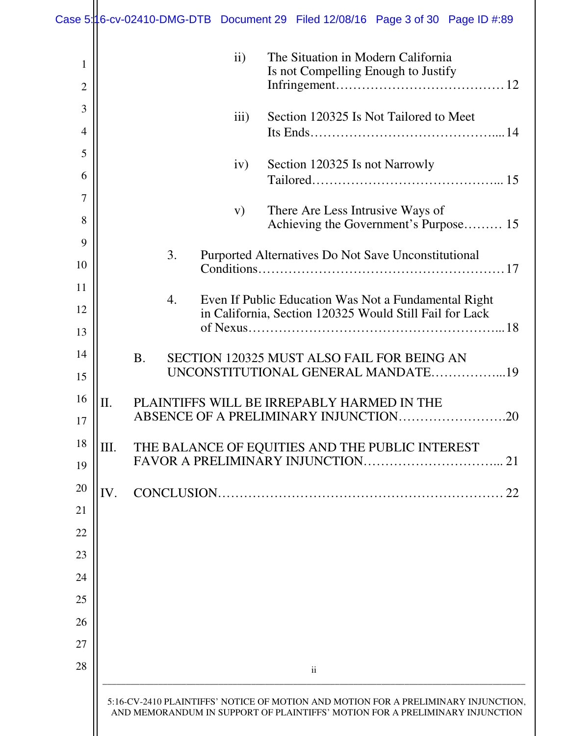| Case 5:16-cv-02410-DMG-DTB Document 29 Filed 12/08/16 Page 3 of 30 Page ID #:89 |     |           |    |               |                                                                                                                                                                    |  |  |  |    |
|---------------------------------------------------------------------------------|-----|-----------|----|---------------|--------------------------------------------------------------------------------------------------------------------------------------------------------------------|--|--|--|----|
| $\mathbf{1}$<br>$\overline{2}$                                                  |     |           |    | $\mathbf{ii}$ | The Situation in Modern California<br>Is not Compelling Enough to Justify                                                                                          |  |  |  |    |
| 3                                                                               |     |           |    | iii)          | Section 120325 Is Not Tailored to Meet                                                                                                                             |  |  |  |    |
| $\overline{4}$                                                                  |     |           |    |               |                                                                                                                                                                    |  |  |  |    |
| 5                                                                               |     |           |    | iv)           | Section 120325 Is not Narrowly                                                                                                                                     |  |  |  |    |
| 6                                                                               |     |           |    |               |                                                                                                                                                                    |  |  |  |    |
| $\overline{7}$<br>8                                                             |     |           |    | V)            | There Are Less Intrusive Ways of<br>Achieving the Government's Purpose 15                                                                                          |  |  |  |    |
| 9                                                                               |     |           | 3. |               | Purported Alternatives Do Not Save Unconstitutional                                                                                                                |  |  |  |    |
| 10                                                                              |     |           |    |               | Condition 517                                                                                                                                                      |  |  |  |    |
| 11                                                                              |     |           | 4. |               | Even If Public Education Was Not a Fundamental Right                                                                                                               |  |  |  |    |
| 12                                                                              |     |           |    |               | in California, Section 120325 Would Still Fail for Lack                                                                                                            |  |  |  |    |
| 13                                                                              |     |           |    |               |                                                                                                                                                                    |  |  |  |    |
| 14                                                                              |     | <b>B.</b> |    |               | SECTION 120325 MUST ALSO FAIL FOR BEING AN<br>UNCONSTITUTIONAL GENERAL MANDATE19                                                                                   |  |  |  |    |
| 15                                                                              |     |           |    |               |                                                                                                                                                                    |  |  |  |    |
| 16<br>17                                                                        | Π.  |           |    |               | PLAINTIFFS WILL BE IRREPABLY HARMED IN THE<br>ABSENCE OF A PRELIMINARY INJUNCTION.                                                                                 |  |  |  | 20 |
| 18                                                                              | Ш.  |           |    |               | THE BALANCE OF EQUITIES AND THE PUBLIC INTEREST                                                                                                                    |  |  |  |    |
| 19                                                                              |     |           |    |               |                                                                                                                                                                    |  |  |  | 21 |
| 20                                                                              | IV. |           |    |               |                                                                                                                                                                    |  |  |  | 22 |
| 21                                                                              |     |           |    |               |                                                                                                                                                                    |  |  |  |    |
| 22                                                                              |     |           |    |               |                                                                                                                                                                    |  |  |  |    |
| 23                                                                              |     |           |    |               |                                                                                                                                                                    |  |  |  |    |
| 24                                                                              |     |           |    |               |                                                                                                                                                                    |  |  |  |    |
| 25                                                                              |     |           |    |               |                                                                                                                                                                    |  |  |  |    |
| 26<br>27                                                                        |     |           |    |               |                                                                                                                                                                    |  |  |  |    |
| 28                                                                              |     |           |    |               |                                                                                                                                                                    |  |  |  |    |
|                                                                                 |     |           |    |               | $\overline{\mathbf{u}}$                                                                                                                                            |  |  |  |    |
|                                                                                 |     |           |    |               | 5:16-CV-2410 PLAINTIFFS' NOTICE OF MOTION AND MOTION FOR A PRELIMINARY INJUNCTION,<br>AND MEMORANDUM IN SUPPORT OF PLAINTIFFS' MOTION FOR A PRELIMINARY INJUNCTION |  |  |  |    |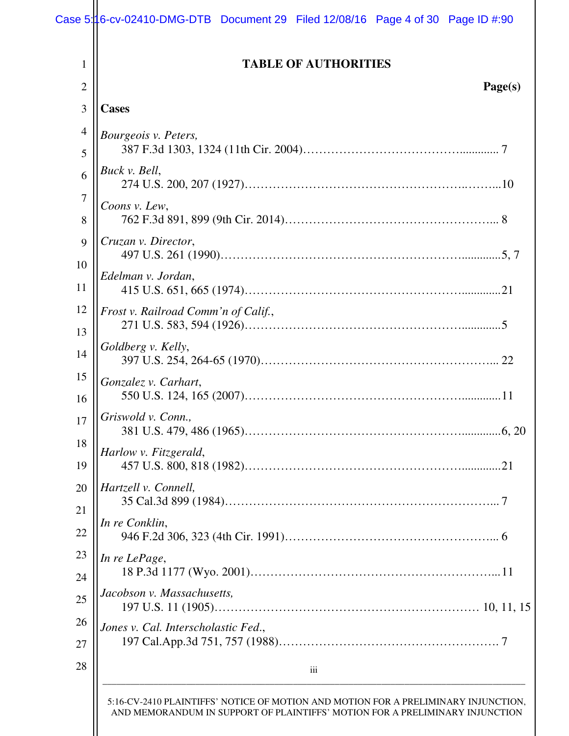| <b>TABLE OF AUTHORITIES</b>         |
|-------------------------------------|
| Page(s)                             |
| <b>Cases</b>                        |
| Bourgeois v. Peters,                |
| Buck v. Bell,                       |
| Coons v. Lew,                       |
| Cruzan v. Director,                 |
| Edelman v. Jordan,                  |
| Frost v. Railroad Comm'n of Calif., |
| Goldberg v. Kelly,                  |
| Gonzalez v. Carhart,                |
| Griswold v. Conn.,                  |
| Harlow v. Fitzgerald,               |
| Hartzell v. Connell,                |
| In re Conklin,                      |
| In re LePage,                       |
| Jacobson v. Massachusetts,          |
| Jones v. Cal. Interscholastic Fed., |
| iii                                 |

AND MEMORANDUM IN SUPPORT OF PLAINTIFFS' MOTION FOR A PRELIMINARY INJUNCTION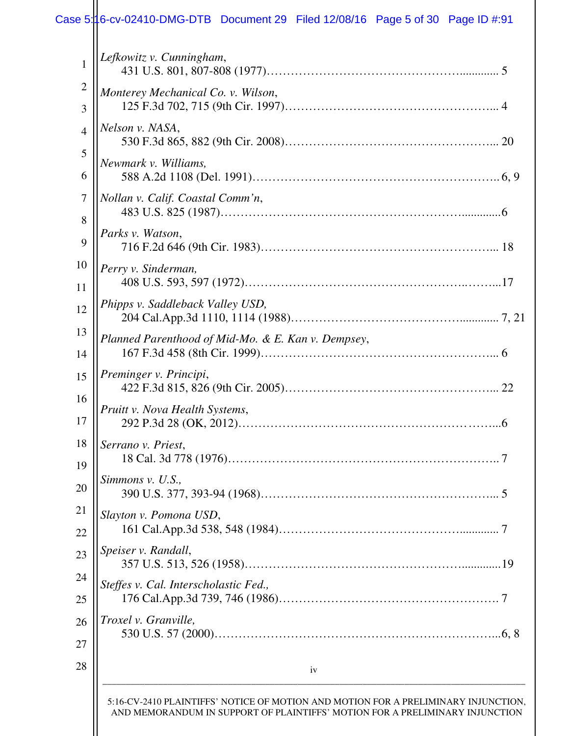| Parks v. Watson,<br>Perry v. Sinderman,<br>Phipps v. Saddleback Valley USD,<br>Planned Parenthood of Mid-Mo. & E. Kan v. Dempsey,<br>Preminger v. Principi,<br>Pruitt v. Nova Health Systems,<br>Serrano v. Priest,<br>7<br>Simmons v. U.S.,<br>Slayton v. Pomona USD, |
|------------------------------------------------------------------------------------------------------------------------------------------------------------------------------------------------------------------------------------------------------------------------|
|                                                                                                                                                                                                                                                                        |
|                                                                                                                                                                                                                                                                        |
|                                                                                                                                                                                                                                                                        |
|                                                                                                                                                                                                                                                                        |
|                                                                                                                                                                                                                                                                        |
|                                                                                                                                                                                                                                                                        |
|                                                                                                                                                                                                                                                                        |
|                                                                                                                                                                                                                                                                        |
|                                                                                                                                                                                                                                                                        |
|                                                                                                                                                                                                                                                                        |
|                                                                                                                                                                                                                                                                        |
| Nollan v. Calif. Coastal Comm'n,                                                                                                                                                                                                                                       |
| Newmark v. Williams,                                                                                                                                                                                                                                                   |
|                                                                                                                                                                                                                                                                        |
| Nelson v. NASA,                                                                                                                                                                                                                                                        |
| Monterey Mechanical Co. v. Wilson,                                                                                                                                                                                                                                     |
|                                                                                                                                                                                                                                                                        |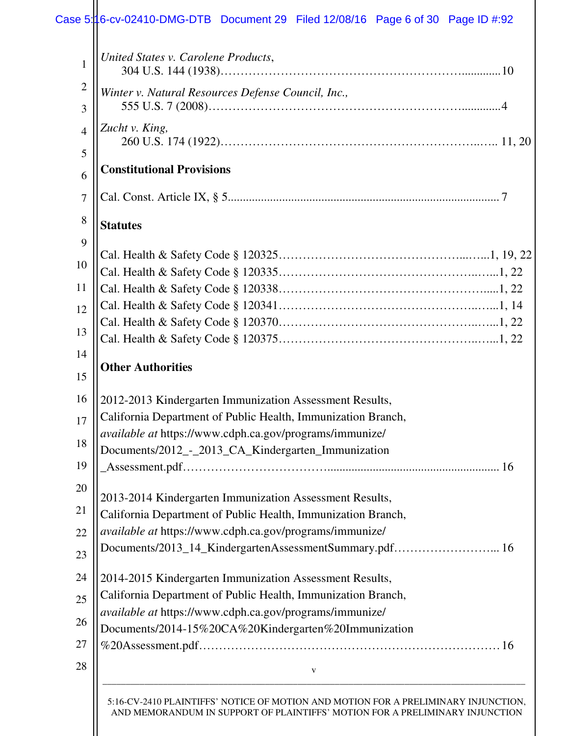| 1              | United States v. Carolene Products,                          |
|----------------|--------------------------------------------------------------|
| $\overline{2}$ | Winter v. Natural Resources Defense Council, Inc.,           |
| 3              |                                                              |
| $\overline{4}$ | Zucht v. King,                                               |
| 5              |                                                              |
| 6              | <b>Constitutional Provisions</b>                             |
| $\overline{7}$ |                                                              |
| 8              | <b>Statutes</b>                                              |
| 9              |                                                              |
| 10             |                                                              |
| 11             |                                                              |
| 12             |                                                              |
|                |                                                              |
| 13             |                                                              |
| 14             | <b>Other Authorities</b>                                     |
| 15             |                                                              |
| 16             | 2012-2013 Kindergarten Immunization Assessment Results,      |
| 17             | California Department of Public Health, Immunization Branch, |
| 18             | available at https://www.cdph.ca.gov/programs/immunize/      |
| 19             | Documents/2012_-_2013_CA_Kindergarten_Immunization           |
|                |                                                              |
| 20             | 2013-2014 Kindergarten Immunization Assessment Results,      |
| 21             | California Department of Public Health, Immunization Branch, |
| 22             | available at https://www.cdph.ca.gov/programs/immunize/      |
| 23             | Documents/2013_14_KindergartenAssessmentSummary.pdf 16       |
| 24             | 2014-2015 Kindergarten Immunization Assessment Results,      |
| 25             | California Department of Public Health, Immunization Branch, |
| 26             | available at https://www.cdph.ca.gov/programs/immunize/      |
| 27             | Documents/2014-15%20CA%20Kindergarten%20Immunization         |
| 28             |                                                              |
|                | V                                                            |
|                |                                                              |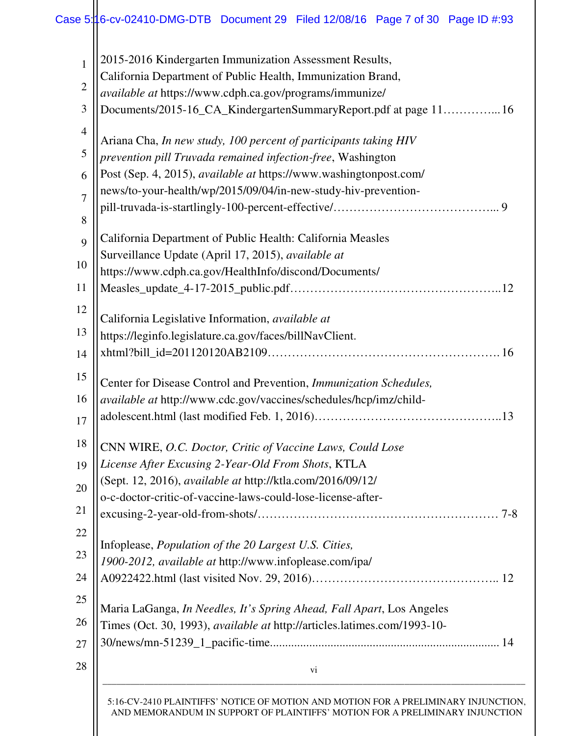| $\mathbf{1}$   | 2015-2016 Kindergarten Immunization Assessment Results,                                                          |
|----------------|------------------------------------------------------------------------------------------------------------------|
| $\overline{2}$ | California Department of Public Health, Immunization Brand,                                                      |
| 3              | available at https://www.cdph.ca.gov/programs/immunize/                                                          |
|                | Documents/2015-16_CA_KindergartenSummaryReport.pdf at page 1116                                                  |
| $\overline{4}$ | Ariana Cha, In new study, 100 percent of participants taking HIV                                                 |
| $\mathfrak{S}$ | prevention pill Truvada remained infection-free, Washington                                                      |
| 6              | Post (Sep. 4, 2015), available at https://www.washingtonpost.com/                                                |
| $\overline{7}$ | news/to-your-health/wp/2015/09/04/in-new-study-hiv-prevention-                                                   |
|                |                                                                                                                  |
| 8              |                                                                                                                  |
| 9              | California Department of Public Health: California Measles<br>Surveillance Update (April 17, 2015), available at |
| 10             | https://www.cdph.ca.gov/HealthInfo/discond/Documents/                                                            |
| 11             |                                                                                                                  |
|                |                                                                                                                  |
| 12             | California Legislative Information, available at                                                                 |
| 13             | https://leginfo.legislature.ca.gov/faces/billNavClient.                                                          |
| 14             |                                                                                                                  |
| 15             | Center for Disease Control and Prevention, Immunization Schedules,                                               |
| 16             | available at http://www.cdc.gov/vaccines/schedules/hcp/imz/child-                                                |
|                |                                                                                                                  |
| 17             |                                                                                                                  |
| 18             | CNN WIRE, O.C. Doctor, Critic of Vaccine Laws, Could Lose                                                        |
| 19             | License After Excusing 2-Year-Old From Shots, KTLA                                                               |
| 20             | (Sept. 12, 2016), available at http://ktla.com/2016/09/12/                                                       |
|                | o-c-doctor-critic-of-vaccine-laws-could-lose-license-after-                                                      |
| 21             |                                                                                                                  |
| 22             | Infoplease, Population of the 20 Largest U.S. Cities,                                                            |
| 23             | 1900-2012, available at http://www.infoplease.com/ipa/                                                           |
| 24             |                                                                                                                  |
|                |                                                                                                                  |
| 25             | Maria LaGanga, In Needles, It's Spring Ahead, Fall Apart, Los Angeles                                            |
| 26             | Times (Oct. 30, 1993), available at http://articles.latimes.com/1993-10-                                         |
| 27             |                                                                                                                  |
| 28             | vi                                                                                                               |
|                | <b>ON AND MOTION COD A BBELBABLA BY BULLIOT</b>                                                                  |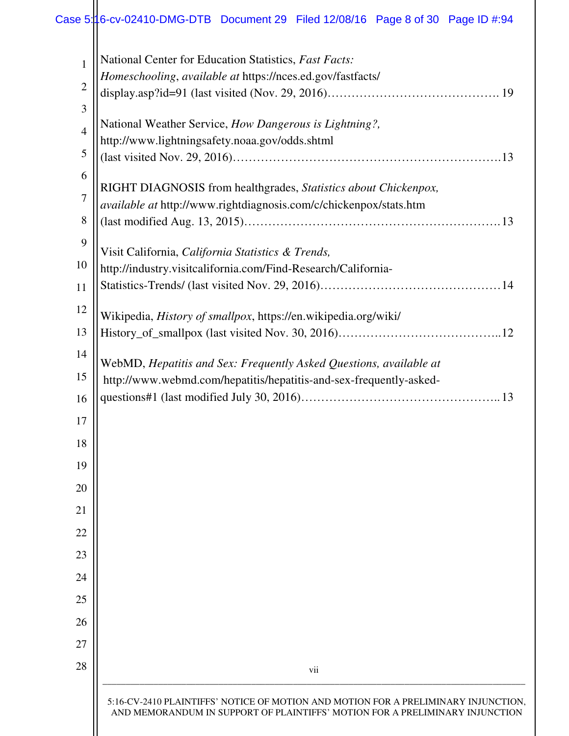|                                                                    | Homeschooling, available at https://nces.ed.gov/fastfacts/ |
|--------------------------------------------------------------------|------------------------------------------------------------|
|                                                                    |                                                            |
|                                                                    |                                                            |
|                                                                    |                                                            |
|                                                                    |                                                            |
|                                                                    |                                                            |
|                                                                    |                                                            |
|                                                                    |                                                            |
|                                                                    |                                                            |
|                                                                    |                                                            |
|                                                                    |                                                            |
|                                                                    |                                                            |
|                                                                    |                                                            |
|                                                                    |                                                            |
|                                                                    |                                                            |
|                                                                    |                                                            |
|                                                                    |                                                            |
|                                                                    |                                                            |
|                                                                    |                                                            |
|                                                                    |                                                            |
|                                                                    |                                                            |
|                                                                    |                                                            |
|                                                                    |                                                            |
|                                                                    |                                                            |
|                                                                    |                                                            |
|                                                                    |                                                            |
|                                                                    |                                                            |
|                                                                    |                                                            |
|                                                                    |                                                            |
|                                                                    |                                                            |
|                                                                    |                                                            |
|                                                                    |                                                            |
|                                                                    |                                                            |
|                                                                    |                                                            |
|                                                                    |                                                            |
|                                                                    |                                                            |
|                                                                    |                                                            |
|                                                                    |                                                            |
|                                                                    |                                                            |
|                                                                    |                                                            |
|                                                                    |                                                            |
|                                                                    |                                                            |
|                                                                    |                                                            |
|                                                                    |                                                            |
|                                                                    |                                                            |
|                                                                    |                                                            |
|                                                                    |                                                            |
|                                                                    |                                                            |
|                                                                    |                                                            |
|                                                                    |                                                            |
|                                                                    |                                                            |
|                                                                    |                                                            |
|                                                                    |                                                            |
|                                                                    |                                                            |
|                                                                    |                                                            |
|                                                                    |                                                            |
|                                                                    |                                                            |
|                                                                    |                                                            |
|                                                                    |                                                            |
|                                                                    |                                                            |
|                                                                    |                                                            |
|                                                                    |                                                            |
|                                                                    |                                                            |
|                                                                    |                                                            |
|                                                                    |                                                            |
|                                                                    |                                                            |
|                                                                    |                                                            |
|                                                                    |                                                            |
| vii                                                                |                                                            |
|                                                                    |                                                            |
|                                                                    |                                                            |
|                                                                    |                                                            |
|                                                                    |                                                            |
|                                                                    |                                                            |
|                                                                    |                                                            |
|                                                                    |                                                            |
|                                                                    |                                                            |
|                                                                    |                                                            |
|                                                                    |                                                            |
|                                                                    |                                                            |
|                                                                    |                                                            |
|                                                                    |                                                            |
|                                                                    |                                                            |
|                                                                    |                                                            |
|                                                                    |                                                            |
|                                                                    |                                                            |
|                                                                    |                                                            |
|                                                                    |                                                            |
|                                                                    |                                                            |
|                                                                    |                                                            |
|                                                                    |                                                            |
|                                                                    |                                                            |
|                                                                    |                                                            |
|                                                                    |                                                            |
| http://www.webmd.com/hepatitis/hepatitis-and-sex-frequently-asked- |                                                            |
| WebMD, Hepatitis and Sex: Frequently Asked Questions, available at |                                                            |
|                                                                    |                                                            |
|                                                                    |                                                            |
|                                                                    |                                                            |
| Wikipedia, History of smallpox, https://en.wikipedia.org/wiki/     |                                                            |
|                                                                    |                                                            |
|                                                                    |                                                            |
|                                                                    |                                                            |
|                                                                    |                                                            |
| http://industry.visitcalifornia.com/Find-Research/California-      |                                                            |
| Visit California, California Statistics & Trends,                  |                                                            |
|                                                                    |                                                            |
|                                                                    |                                                            |
|                                                                    |                                                            |
| available at http://www.rightdiagnosis.com/c/chickenpox/stats.htm  |                                                            |
| RIGHT DIAGNOSIS from healthgrades, Statistics about Chickenpox,    |                                                            |
|                                                                    |                                                            |
|                                                                    |                                                            |
| http://www.lightningsafety.noaa.gov/odds.shtml                     |                                                            |
| National Weather Service, How Dangerous is Lightning?,             |                                                            |
|                                                                    |                                                            |
|                                                                    |                                                            |
|                                                                    | National Center for Education Statistics, Fast Facts:      |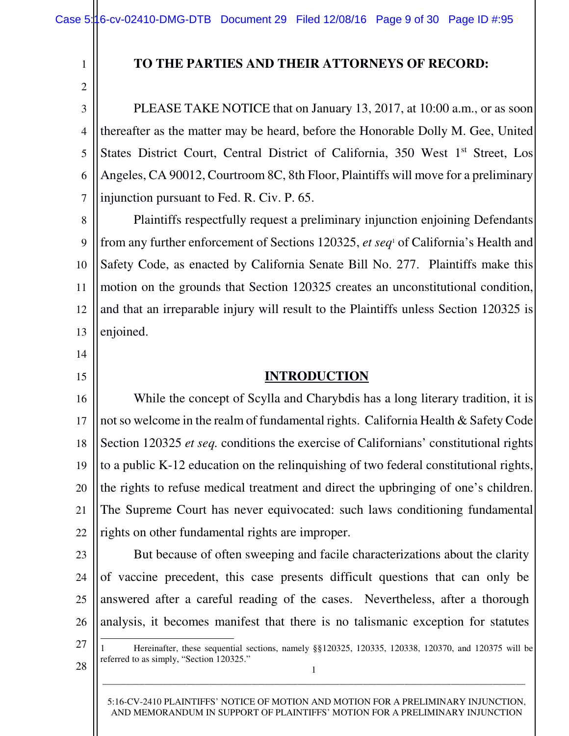#### **TO THE PARTIES AND THEIR ATTORNEYS OF RECORD:**

3 4 5 6 7 PLEASE TAKE NOTICE that on January 13, 2017, at 10:00 a.m., or as soon thereafter as the matter may be heard, before the Honorable Dolly M. Gee, United States District Court, Central District of California, 350 West 1<sup>st</sup> Street, Los Angeles, CA 90012, Courtroom 8C, 8th Floor, Plaintiffs will move for a preliminary injunction pursuant to Fed. R. Civ. P. 65.

8 9 10 11 12 13 Plaintiffs respectfully request a preliminary injunction enjoining Defendants from any further enforcement of Sections 120325, *et seq*<sup>1</sup> of California's Health and Safety Code, as enacted by California Senate Bill No. 277. Plaintiffs make this motion on the grounds that Section 120325 creates an unconstitutional condition, and that an irreparable injury will result to the Plaintiffs unless Section 120325 is enjoined.

14

1

2

15

#### **INTRODUCTION**

16 17 18 19 20 21 22 While the concept of Scylla and Charybdis has a long literary tradition, it is not so welcome in the realm of fundamental rights. California Health & Safety Code Section 120325 *et seq.* conditions the exercise of Californians' constitutional rights to a public K-12 education on the relinquishing of two federal constitutional rights, the rights to refuse medical treatment and direct the upbringing of one's children. The Supreme Court has never equivocated: such laws conditioning fundamental rights on other fundamental rights are improper.

23

24

25

26

But because of often sweeping and facile characterizations about the clarity of vaccine precedent, this case presents difficult questions that can only be answered after a careful reading of the cases. Nevertheless, after a thorough analysis, it becomes manifest that there is no talismanic exception for statutes

27

 $\overline{\phantom{0}}$ 

referred to as simply, "Section 120325."

28

5:16-CV-2410 PLAINTIFFS' NOTICE OF MOTION AND MOTION FOR A PRELIMINARY INJUNCTION, AND MEMORANDUM IN SUPPORT OF PLAINTIFFS' MOTION FOR A PRELIMINARY INJUNCTION

1 \_\_\_\_\_\_\_\_\_\_\_\_\_\_\_\_\_\_\_\_\_\_\_\_\_\_\_\_\_\_\_\_\_\_\_\_\_\_\_\_\_\_\_\_\_\_\_\_\_\_\_\_\_\_\_\_\_\_\_\_\_\_\_\_\_\_\_\_\_\_\_\_\_\_\_\_\_\_\_\_\_\_\_\_\_\_\_\_\_\_\_

1 Hereinafter, these sequential sections, namely §§120325, 120335, 120338, 120370, and 120375 will be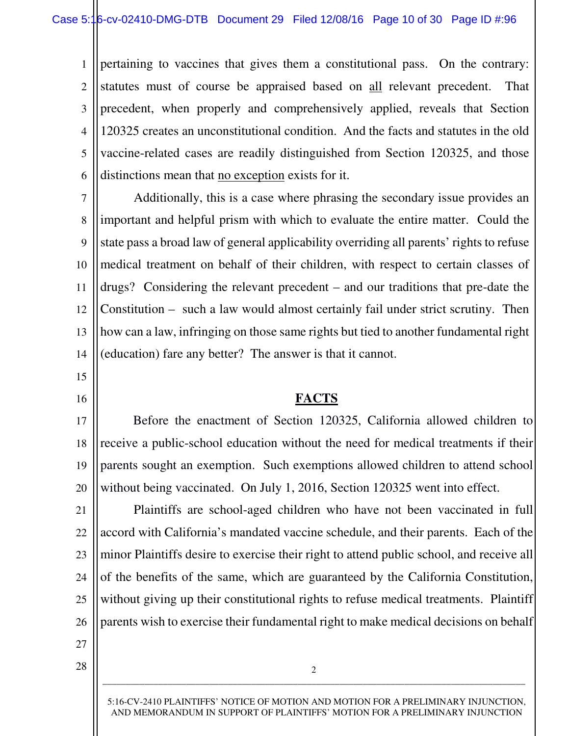1 2 3 4 5 6 pertaining to vaccines that gives them a constitutional pass. On the contrary: statutes must of course be appraised based on all relevant precedent. That precedent, when properly and comprehensively applied, reveals that Section 120325 creates an unconstitutional condition. And the facts and statutes in the old vaccine-related cases are readily distinguished from Section 120325, and those distinctions mean that no exception exists for it.

7 8 9 10 11 12 13 14 Additionally, this is a case where phrasing the secondary issue provides an important and helpful prism with which to evaluate the entire matter. Could the state pass a broad law of general applicability overriding all parents' rights to refuse medical treatment on behalf of their children, with respect to certain classes of drugs? Considering the relevant precedent – and our traditions that pre-date the Constitution – such a law would almost certainly fail under strict scrutiny. Then how can a law, infringing on those same rights but tied to another fundamental right (education) fare any better? The answer is that it cannot.

- 15
- 16

#### **FACTS**

17 18 19 20 Before the enactment of Section 120325, California allowed children to receive a public-school education without the need for medical treatments if their parents sought an exemption. Such exemptions allowed children to attend school without being vaccinated. On July 1, 2016, Section 120325 went into effect.

21 22 23 24 25 26 Plaintiffs are school-aged children who have not been vaccinated in full accord with California's mandated vaccine schedule, and their parents. Each of the minor Plaintiffs desire to exercise their right to attend public school, and receive all of the benefits of the same, which are guaranteed by the California Constitution, without giving up their constitutional rights to refuse medical treatments. Plaintiff parents wish to exercise their fundamental right to make medical decisions on behalf

27 28

> 5:16-CV-2410 PLAINTIFFS' NOTICE OF MOTION AND MOTION FOR A PRELIMINARY INJUNCTION, AND MEMORANDUM IN SUPPORT OF PLAINTIFFS' MOTION FOR A PRELIMINARY INJUNCTION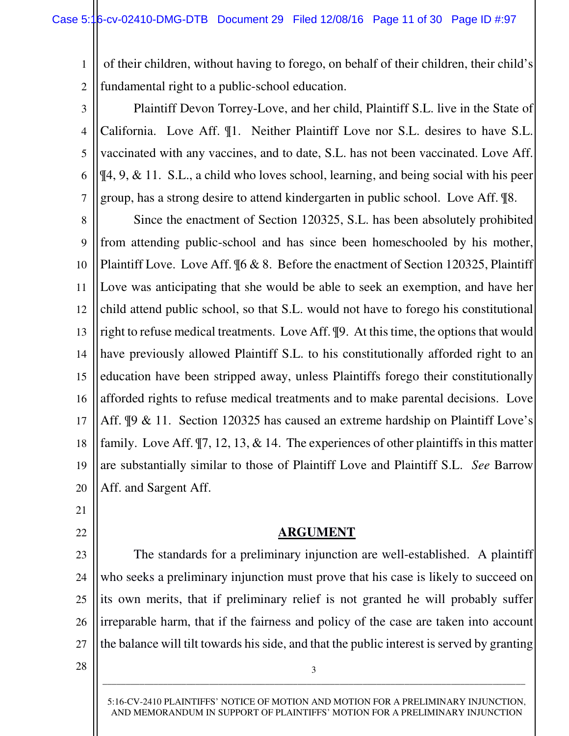1 2 of their children, without having to forego, on behalf of their children, their child's fundamental right to a public-school education.

3 4 5 6 7 Plaintiff Devon Torrey-Love, and her child, Plaintiff S.L. live in the State of California. Love Aff. ¶1. Neither Plaintiff Love nor S.L. desires to have S.L. vaccinated with any vaccines, and to date, S.L. has not been vaccinated. Love Aff. ¶4, 9, & 11. S.L., a child who loves school, learning, and being social with his peer group, has a strong desire to attend kindergarten in public school. Love Aff. ¶8.

8 9 10 11 12 13 14 15 16 17 18 19 20 Since the enactment of Section 120325, S.L. has been absolutely prohibited from attending public-school and has since been homeschooled by his mother, Plaintiff Love. Love Aff. ¶6 & 8. Before the enactment of Section 120325, Plaintiff Love was anticipating that she would be able to seek an exemption, and have her child attend public school, so that S.L. would not have to forego his constitutional right to refuse medical treatments. Love Aff. ¶9. At this time, the options that would have previously allowed Plaintiff S.L. to his constitutionally afforded right to an education have been stripped away, unless Plaintiffs forego their constitutionally afforded rights to refuse medical treatments and to make parental decisions. Love Aff. ¶9 & 11. Section 120325 has caused an extreme hardship on Plaintiff Love's family. Love Aff. ¶7, 12, 13, & 14. The experiences of other plaintiffs in this matter are substantially similar to those of Plaintiff Love and Plaintiff S.L. *See* Barrow Aff. and Sargent Aff.

21

22

**ARGUMENT**

23 24 25 26 27 The standards for a preliminary injunction are well-established. A plaintiff who seeks a preliminary injunction must prove that his case is likely to succeed on its own merits, that if preliminary relief is not granted he will probably suffer irreparable harm, that if the fairness and policy of the case are taken into account the balance will tilt towards his side, and that the public interest is served by granting

28

5:16-CV-2410 PLAINTIFFS' NOTICE OF MOTION AND MOTION FOR A PRELIMINARY INJUNCTION, AND MEMORANDUM IN SUPPORT OF PLAINTIFFS' MOTION FOR A PRELIMINARY INJUNCTION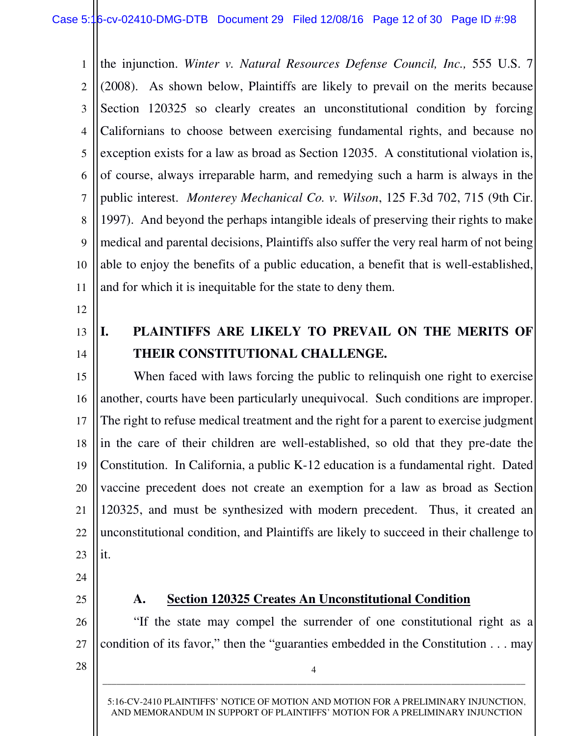1 2 3 4 5 6 7 8 9 10 11 the injunction. *Winter v. Natural Resources Defense Council, Inc.,* 555 U.S. 7 (2008). As shown below, Plaintiffs are likely to prevail on the merits because Section 120325 so clearly creates an unconstitutional condition by forcing Californians to choose between exercising fundamental rights, and because no exception exists for a law as broad as Section 12035. A constitutional violation is, of course, always irreparable harm, and remedying such a harm is always in the public interest. *Monterey Mechanical Co. v. Wilson*, 125 F.3d 702, 715 (9th Cir. 1997). And beyond the perhaps intangible ideals of preserving their rights to make medical and parental decisions, Plaintiffs also suffer the very real harm of not being able to enjoy the benefits of a public education, a benefit that is well-established, and for which it is inequitable for the state to deny them.

- 12
- 13 14

## **I. PLAINTIFFS ARE LIKELY TO PREVAIL ON THE MERITS OF THEIR CONSTITUTIONAL CHALLENGE.**

15 16 17 18 19 20 21 22 23 When faced with laws forcing the public to relinquish one right to exercise another, courts have been particularly unequivocal. Such conditions are improper. The right to refuse medical treatment and the right for a parent to exercise judgment in the care of their children are well-established, so old that they pre-date the Constitution. In California, a public K-12 education is a fundamental right. Dated vaccine precedent does not create an exemption for a law as broad as Section 120325, and must be synthesized with modern precedent. Thus, it created an unconstitutional condition, and Plaintiffs are likely to succeed in their challenge to it.

- 24
- 25

26

#### **A. Section 120325 Creates An Unconstitutional Condition**

"If the state may compel the surrender of one constitutional right as a condition of its favor," then the "guaranties embedded in the Constitution . . . may

4 \_\_\_\_\_\_\_\_\_\_\_\_\_\_\_\_\_\_\_\_\_\_\_\_\_\_\_\_\_\_\_\_\_\_\_\_\_\_\_\_\_\_\_\_\_\_\_\_\_\_\_\_\_\_\_\_\_\_\_\_\_\_\_\_\_\_\_\_\_\_\_\_\_\_\_\_\_\_\_\_\_\_\_\_\_\_\_\_\_\_\_

28

27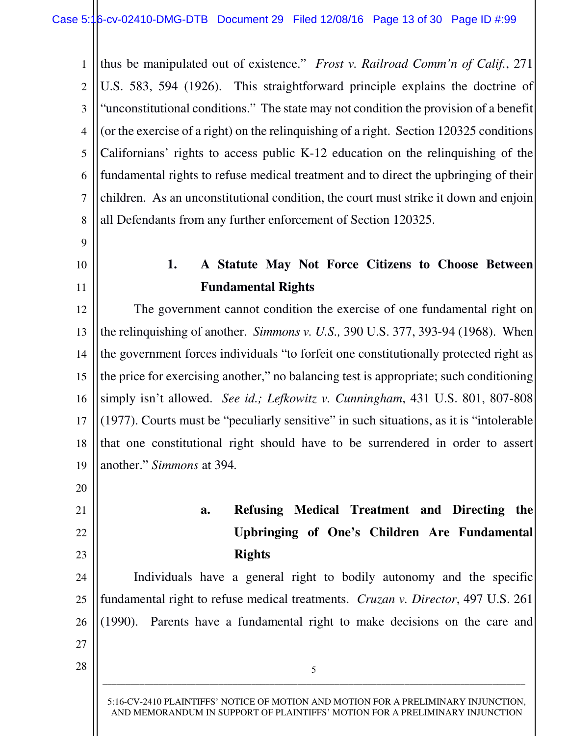1 2 3 4 5 6 7 8 thus be manipulated out of existence." *Frost v. Railroad Comm'n of Calif.*, 271 U.S. 583, 594 (1926). This straightforward principle explains the doctrine of "unconstitutional conditions." The state may not condition the provision of a benefit (or the exercise of a right) on the relinquishing of a right. Section 120325 conditions Californians' rights to access public K-12 education on the relinquishing of the fundamental rights to refuse medical treatment and to direct the upbringing of their children. As an unconstitutional condition, the court must strike it down and enjoin all Defendants from any further enforcement of Section 120325.

- 9 10
- 11

20

21

22

23

27

28

## **1. A Statute May Not Force Citizens to Choose Between Fundamental Rights**

12 13 14 15 16 17 18 19 The government cannot condition the exercise of one fundamental right on the relinquishing of another. *Simmons v. U.S.,* 390 U.S. 377, 393-94 (1968). When the government forces individuals "to forfeit one constitutionally protected right as the price for exercising another," no balancing test is appropriate; such conditioning simply isn't allowed. *See id.; Lefkowitz v. Cunningham*, 431 U.S. 801, 807-808 (1977). Courts must be "peculiarly sensitive" in such situations, as it is "intolerable that one constitutional right should have to be surrendered in order to assert another." *Simmons* at 394*.* 

# **a. Refusing Medical Treatment and Directing the Upbringing of One's Children Are Fundamental Rights**

24 25 26 Individuals have a general right to bodily autonomy and the specific fundamental right to refuse medical treatments. *Cruzan v. Director*, 497 U.S. 261 (1990). Parents have a fundamental right to make decisions on the care and

5 \_\_\_\_\_\_\_\_\_\_\_\_\_\_\_\_\_\_\_\_\_\_\_\_\_\_\_\_\_\_\_\_\_\_\_\_\_\_\_\_\_\_\_\_\_\_\_\_\_\_\_\_\_\_\_\_\_\_\_\_\_\_\_\_\_\_\_\_\_\_\_\_\_\_\_\_\_\_\_\_\_\_\_\_\_\_\_\_\_\_\_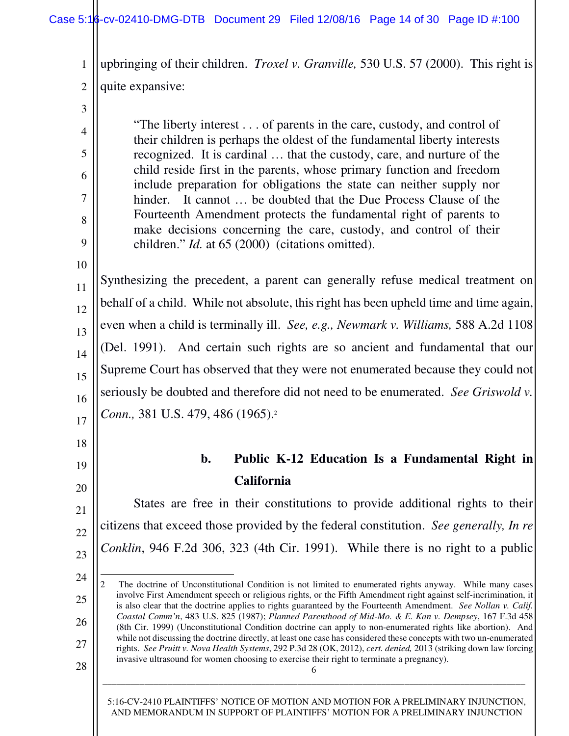1 2 upbringing of their children. *Troxel v. Granville,* 530 U.S. 57 (2000). This right is quite expansive:

| 3              |                                                                                                                                                     |
|----------------|-----------------------------------------------------------------------------------------------------------------------------------------------------|
| $\overline{4}$ | "The liberty interest of parents in the care, custody, and control of                                                                               |
| 5              | their children is perhaps the oldest of the fundamental liberty interests<br>recognized. It is cardinal  that the custody, care, and nurture of the |
| 6              | child reside first in the parents, whose primary function and freedom<br>include preparation for obligations the state can neither supply nor       |
| 7              | hinder. It cannot  be doubted that the Due Process Clause of the                                                                                    |
| 8              | Fourteenth Amendment protects the fundamental right of parents to                                                                                   |
| 9              | make decisions concerning the care, custody, and control of their<br>children." <i>Id.</i> at 65 (2000) (citations omitted).                        |
| 10             |                                                                                                                                                     |
| 11             | Synthesizing the precedent, a parent can generally refuse medical treatment on                                                                      |
| 12             | behalf of a child. While not absolute, this right has been upheld time and time again,                                                              |
| 13             | even when a child is terminally ill. See, e.g., Newmark v. Williams, 588 A.2d 1108                                                                  |
| 14             | (Del. 1991). And certain such rights are so ancient and fundamental that our                                                                        |
| 15             | Supreme Court has observed that they were not enumerated because they could not                                                                     |
| 16             | seriously be doubted and therefore did not need to be enumerated. See Griswold v.                                                                   |
| 17             | Conn., 381 U.S. 479, 486 (1965). <sup>2</sup>                                                                                                       |
|                |                                                                                                                                                     |

## **b. Public K-12 Education Is a Fundamental Right in California**

 States are free in their constitutions to provide additional rights to their citizens that exceed those provided by the federal constitution. *See generally, In re Conklin*, 946 F.2d 306, 323 (4th Cir. 1991). While there is no right to a public

18

19

20

21

22

23

<sup>24</sup> 25 26 27 28  $\overline{\phantom{0}}$ 2 The doctrine of Unconstitutional Condition is not limited to enumerated rights anyway. While many cases involve First Amendment speech or religious rights, or the Fifth Amendment right against self-incrimination, it is also clear that the doctrine applies to rights guaranteed by the Fourteenth Amendment. *See Nollan v. Calif. Coastal Comm'n*, 483 U.S. 825 (1987); *Planned Parenthood of Mid-Mo. & E. Kan v. Dempsey*, 167 F.3d 458 (8th Cir. 1999) (Unconstitutional Condition doctrine can apply to non-enumerated rights like abortion). And while not discussing the doctrine directly, at least one case has considered these concepts with two un-enumerated rights. *See Pruitt v. Nova Health Systems*, 292 P.3d 28 (OK, 2012), *cert. denied,* 2013 (striking down law forcing invasive ultrasound for women choosing to exercise their right to terminate a pregnancy).

<sup>6</sup>  \_\_\_\_\_\_\_\_\_\_\_\_\_\_\_\_\_\_\_\_\_\_\_\_\_\_\_\_\_\_\_\_\_\_\_\_\_\_\_\_\_\_\_\_\_\_\_\_\_\_\_\_\_\_\_\_\_\_\_\_\_\_\_\_\_\_\_\_\_\_\_\_\_\_\_\_\_\_\_\_\_\_\_\_\_\_\_\_\_\_\_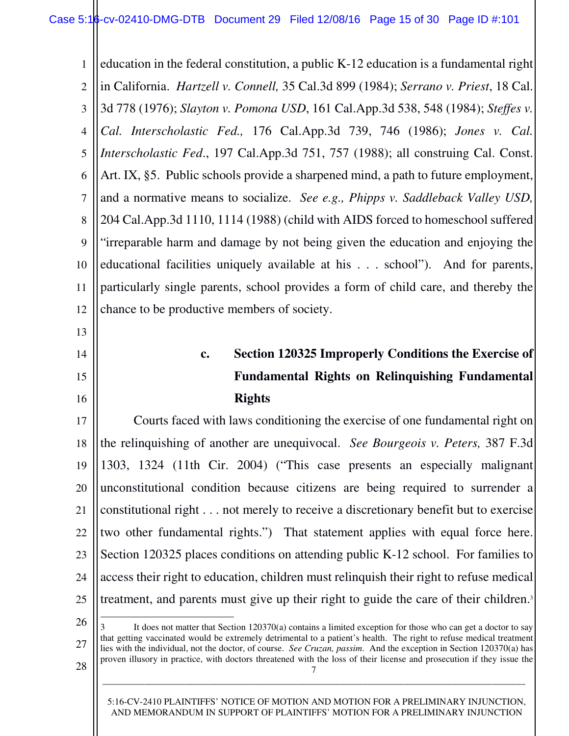1 2 3 4 5 6 7 8 9 10 11 12 education in the federal constitution, a public K-12 education is a fundamental right in California. *Hartzell v. Connell,* 35 Cal.3d 899 (1984); *Serrano v. Priest*, 18 Cal. 3d 778 (1976); *Slayton v. Pomona USD*, 161 Cal.App.3d 538, 548 (1984); *Steffes v. Cal. Interscholastic Fed.,* 176 Cal.App.3d 739, 746 (1986); *Jones v. Cal. Interscholastic Fed*., 197 Cal.App.3d 751, 757 (1988); all construing Cal. Const. Art. IX, §5. Public schools provide a sharpened mind, a path to future employment, and a normative means to socialize. *See e.g., Phipps v. Saddleback Valley USD,*  204 Cal.App.3d 1110, 1114 (1988) (child with AIDS forced to homeschool suffered "irreparable harm and damage by not being given the education and enjoying the educational facilities uniquely available at his . . . school"). And for parents, particularly single parents, school provides a form of child care, and thereby the chance to be productive members of society.

# **c. Section 120325 Improperly Conditions the Exercise of Fundamental Rights on Relinquishing Fundamental Rights**

17 18 19 20 21 22 23 24 25 Courts faced with laws conditioning the exercise of one fundamental right on the relinquishing of another are unequivocal. *See Bourgeois v. Peters,* 387 F.3d 1303, 1324 (11th Cir. 2004) ("This case presents an especially malignant unconstitutional condition because citizens are being required to surrender a constitutional right . . . not merely to receive a discretionary benefit but to exercise two other fundamental rights.") That statement applies with equal force here. Section 120325 places conditions on attending public K-12 school. For families to access their right to education, children must relinquish their right to refuse medical treatment, and parents must give up their right to guide the care of their children.<sup>3</sup>  $\overline{\phantom{0}}$ 

26

27

28

13

14

15

16

7 It does not matter that Section 120370(a) contains a limited exception for those who can get a doctor to say that getting vaccinated would be extremely detrimental to a patient's health. The right to refuse medical treatment lies with the individual, not the doctor, of course. *See Cruzan, passim*. And the exception in Section 120370(a) has proven illusory in practice, with doctors threatened with the loss of their license and prosecution if they issue the

5:16-CV-2410 PLAINTIFFS' NOTICE OF MOTION AND MOTION FOR A PRELIMINARY INJUNCTION, AND MEMORANDUM IN SUPPORT OF PLAINTIFFS' MOTION FOR A PRELIMINARY INJUNCTION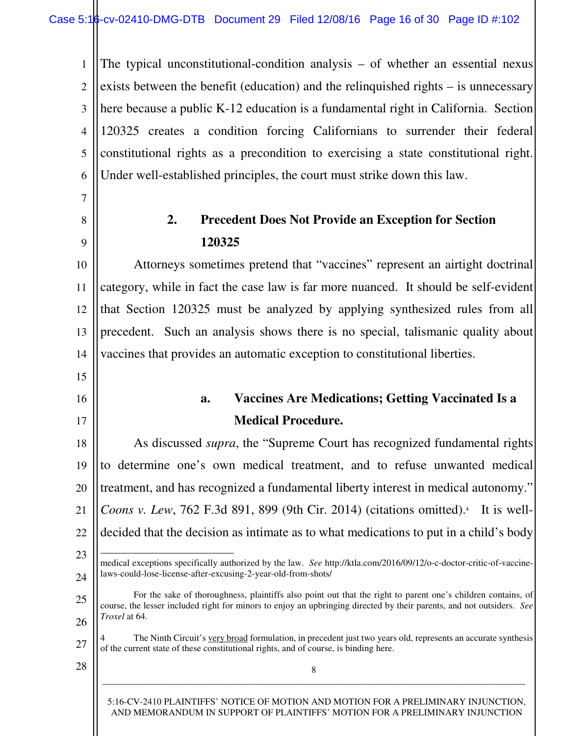1 2 3 4 5 6 The typical unconstitutional-condition analysis – of whether an essential nexus exists between the benefit (education) and the relinquished rights – is unnecessary here because a public K-12 education is a fundamental right in California. Section 120325 creates a condition forcing Californians to surrender their federal constitutional rights as a precondition to exercising a state constitutional right. Under well-established principles, the court must strike down this law.

### **2. Precedent Does Not Provide an Exception for Section 120325**

10 11 12 13 14 Attorneys sometimes pretend that "vaccines" represent an airtight doctrinal category, while in fact the case law is far more nuanced. It should be self-evident that Section 120325 must be analyzed by applying synthesized rules from all precedent. Such an analysis shows there is no special, talismanic quality about vaccines that provides an automatic exception to constitutional liberties.

# **a. Vaccines Are Medications; Getting Vaccinated Is a Medical Procedure.**

18 19 20 21 22 23 As discussed *supra*, the "Supreme Court has recognized fundamental rights to determine one's own medical treatment, and to refuse unwanted medical treatment, and has recognized a fundamental liberty interest in medical autonomy." Coons v. Lew, 762 F.3d 891, 899 (9th Cir. 2014) (citations omitted).<sup>4</sup> It is welldecided that the decision as intimate as to what medications to put in a child's body  $\overline{\phantom{0}}$ 

#### 24 medical exceptions specifically authorized by the law. *See* http://ktla.com/2016/09/12/o-c-doctor-critic-of-vaccinelaws-could-lose-license-after-excusing-2-year-old-from-shots/

25 26 For the sake of thoroughness, plaintiffs also point out that the right to parent one's children contains, of course, the lesser included right for minors to enjoy an upbringing directed by their parents, and not outsiders. *See Troxel* at 64.

27 The Ninth Circuit's very broad formulation, in precedent just two years old, represents an accurate synthesis of the current state of these constitutional rights, and of course, is binding here.

8 \_\_\_\_\_\_\_\_\_\_\_\_\_\_\_\_\_\_\_\_\_\_\_\_\_\_\_\_\_\_\_\_\_\_\_\_\_\_\_\_\_\_\_\_\_\_\_\_\_\_\_\_\_\_\_\_\_\_\_\_\_\_\_\_\_\_\_\_\_\_\_\_\_\_\_\_\_\_\_\_\_\_\_\_\_\_\_\_\_\_\_

28

7

8

9

15

16

17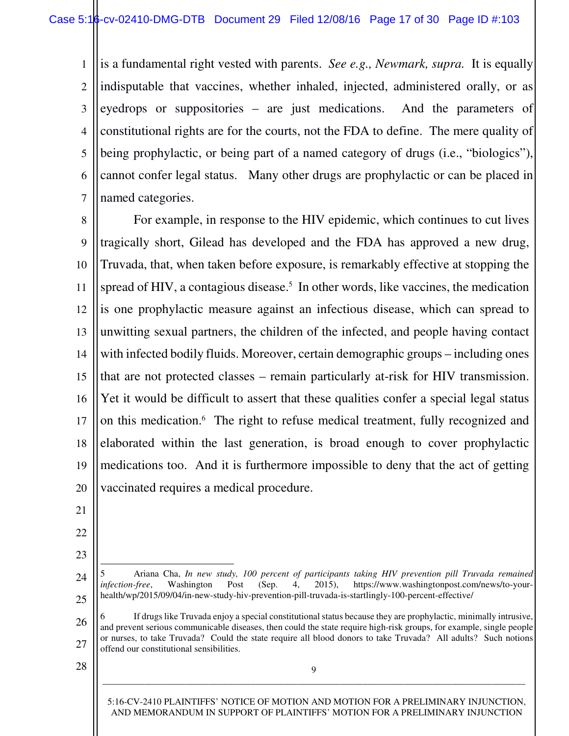1 2 3 4 5 6 7 is a fundamental right vested with parents. *See e.g., Newmark, supra.* It is equally indisputable that vaccines, whether inhaled, injected, administered orally, or as eyedrops or suppositories – are just medications. And the parameters of constitutional rights are for the courts, not the FDA to define. The mere quality of being prophylactic, or being part of a named category of drugs (i.e., "biologics"), cannot confer legal status. Many other drugs are prophylactic or can be placed in named categories.

8 9 10 11 12 13 14 15 16 17 18 19 20 For example, in response to the HIV epidemic, which continues to cut lives tragically short, Gilead has developed and the FDA has approved a new drug, Truvada, that, when taken before exposure, is remarkably effective at stopping the spread of HIV, a contagious disease.<sup>5</sup> In other words, like vaccines, the medication is one prophylactic measure against an infectious disease, which can spread to unwitting sexual partners, the children of the infected, and people having contact with infected bodily fluids. Moreover, certain demographic groups – including ones that are not protected classes – remain particularly at-risk for HIV transmission. Yet it would be difficult to assert that these qualities confer a special legal status on this medication.<sup>6</sup> The right to refuse medical treatment, fully recognized and elaborated within the last generation, is broad enough to cover prophylactic medications too. And it is furthermore impossible to deny that the act of getting vaccinated requires a medical procedure.

- 21
- 22
- 23

 $\overline{\phantom{0}}$ 

24

25

- 5 Ariana Cha, *In new study, 100 percent of participants taking HIV prevention pill Truvada remained infection-free*, Washington Post (Sep. 4, 2015), https://www.washingtonpost.com/news/to-yourhealth/wp/2015/09/04/in-new-study-hiv-prevention-pill-truvada-is-startlingly-100-percent-effective/
- 26 27 6 If drugs like Truvada enjoy a special constitutional status because they are prophylactic, minimally intrusive, and prevent serious communicable diseases, then could the state require high-risk groups, for example, single people or nurses, to take Truvada? Could the state require all blood donors to take Truvada? All adults? Such notions offend our constitutional sensibilities.

9 \_\_\_\_\_\_\_\_\_\_\_\_\_\_\_\_\_\_\_\_\_\_\_\_\_\_\_\_\_\_\_\_\_\_\_\_\_\_\_\_\_\_\_\_\_\_\_\_\_\_\_\_\_\_\_\_\_\_\_\_\_\_\_\_\_\_\_\_\_\_\_\_\_\_\_\_\_\_\_\_\_\_\_\_\_\_\_\_\_\_\_

28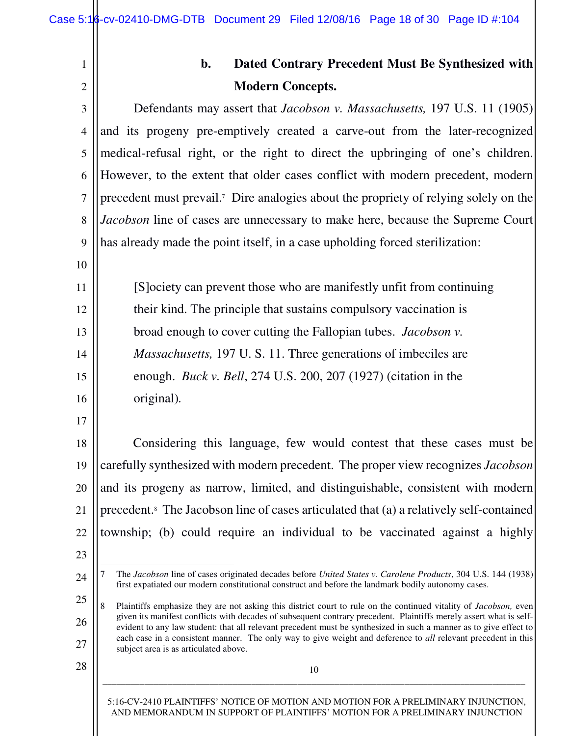| ŕ |  |
|---|--|

10

11

12

13

14

15

16

17

# **b. Dated Contrary Precedent Must Be Synthesized with Modern Concepts.**

3 4 5 6 7 8 9 Defendants may assert that *Jacobson v. Massachusetts,* 197 U.S. 11 (1905) and its progeny pre-emptively created a carve-out from the later-recognized medical-refusal right, or the right to direct the upbringing of one's children. However, to the extent that older cases conflict with modern precedent, modern precedent must prevail.<sup>7</sup> Dire analogies about the propriety of relying solely on the *Jacobson* line of cases are unnecessary to make here, because the Supreme Court has already made the point itself, in a case upholding forced sterilization:

[S]ociety can prevent those who are manifestly unfit from continuing their kind. The principle that sustains compulsory vaccination is broad enough to cover cutting the Fallopian tubes. *Jacobson v. Massachusetts,* 197 U. S. 11. Three generations of imbeciles are enough. *Buck v. Bell*, 274 U.S. 200, 207 (1927) (citation in the original)*.*

- 18 19 20 21 22 Considering this language, few would contest that these cases must be carefully synthesized with modern precedent. The proper view recognizes *Jacobson* and its progeny as narrow, limited, and distinguishable, consistent with modern precedent.<sup>8</sup> The Jacobson line of cases articulated that (a) a relatively self-contained township; (b) could require an individual to be vaccinated against a highly
- 23

 $\overline{\phantom{0}}$ 

24

- 7 The *Jacobson* line of cases originated decades before *United States v. Carolene Products*, 304 U.S. 144 (1938) first expatiated our modern constitutional construct and before the landmark bodily autonomy cases.
- 25 26 27 8 Plaintiffs emphasize they are not asking this district court to rule on the continued vitality of *Jacobson,* even given its manifest conflicts with decades of subsequent contrary precedent. Plaintiffs merely assert what is selfevident to any law student: that all relevant precedent must be synthesized in such a manner as to give effect to each case in a consistent manner. The only way to give weight and deference to *all* relevant precedent in this subject area is as articulated above.
- 28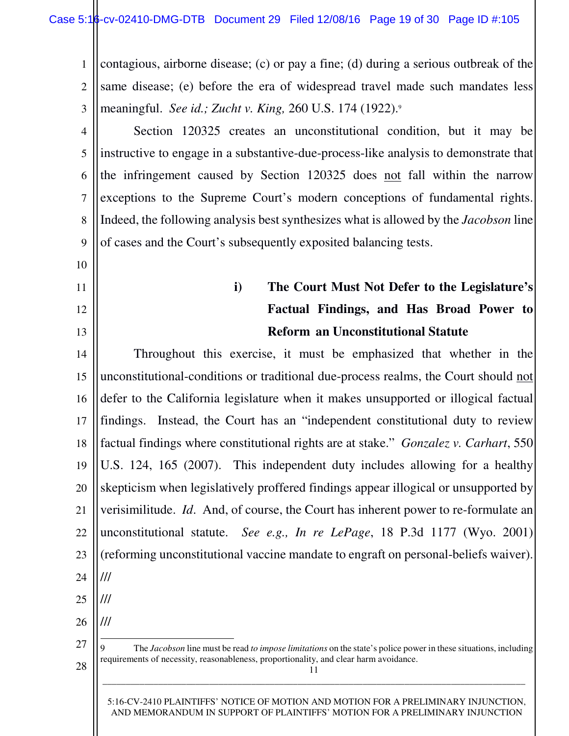1 2 3 contagious, airborne disease; (c) or pay a fine; (d) during a serious outbreak of the same disease; (e) before the era of widespread travel made such mandates less meaningful. *See id.; Zucht v. King,* 260 U.S. 174 (1922).<sup>9</sup>

4 5 6 7 8 9 Section 120325 creates an unconstitutional condition, but it may be instructive to engage in a substantive-due-process-like analysis to demonstrate that the infringement caused by Section 120325 does not fall within the narrow exceptions to the Supreme Court's modern conceptions of fundamental rights. Indeed, the following analysis best synthesizes what is allowed by the *Jacobson* line of cases and the Court's subsequently exposited balancing tests.

10

- 11
- 12 13

# **i) The Court Must Not Defer to the Legislature's Factual Findings, and Has Broad Power to Reform an Unconstitutional Statute**

14 15 16 17 18 19 20 21 22 23 24 25 Throughout this exercise, it must be emphasized that whether in the unconstitutional-conditions or traditional due-process realms, the Court should not defer to the California legislature when it makes unsupported or illogical factual findings. Instead, the Court has an "independent constitutional duty to review factual findings where constitutional rights are at stake." *Gonzalez v. Carhart*, 550 U.S. 124, 165 (2007). This independent duty includes allowing for a healthy skepticism when legislatively proffered findings appear illogical or unsupported by verisimilitude. *Id*. And, of course, the Court has inherent power to re-formulate an unconstitutional statute. *See e.g., In re LePage*, 18 P.3d 1177 (Wyo. 2001) (reforming unconstitutional vaccine mandate to engraft on personal-beliefs waiver). /// ///

26

///  $\overline{\phantom{0}}$ 

27

28

9 The *Jacobson* line must be read *to impose limitations* on the state's police power in these situations, including requirements of necessity, reasonableness, proportionality, and clear harm avoidance.

\_\_\_\_\_\_\_\_\_\_\_\_\_\_\_\_\_\_\_\_\_\_\_\_\_\_\_\_\_\_\_\_\_\_\_\_\_\_\_\_\_\_\_\_\_\_\_\_\_\_\_\_\_\_\_\_\_\_\_\_\_\_\_\_\_\_\_\_\_\_\_\_\_\_\_\_\_\_\_\_\_\_\_\_\_\_\_\_\_\_\_

11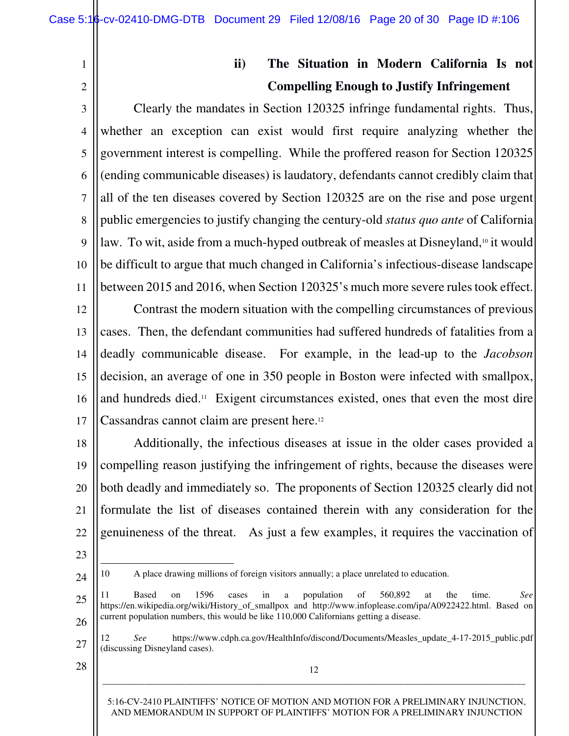#### 1 2

## **ii) The Situation in Modern California Is not Compelling Enough to Justify Infringement**

3 4 5 6 7 8 9 10 11 Clearly the mandates in Section 120325 infringe fundamental rights. Thus, whether an exception can exist would first require analyzing whether the government interest is compelling. While the proffered reason for Section 120325 (ending communicable diseases) is laudatory, defendants cannot credibly claim that all of the ten diseases covered by Section 120325 are on the rise and pose urgent public emergencies to justify changing the century-old *status quo ante* of California law. To wit, aside from a much-hyped outbreak of measles at Disneyland,<sup>10</sup> it would be difficult to argue that much changed in California's infectious-disease landscape between 2015 and 2016, when Section 120325's much more severe rules took effect.

12 13 14 15 16 17 Contrast the modern situation with the compelling circumstances of previous cases. Then, the defendant communities had suffered hundreds of fatalities from a deadly communicable disease. For example, in the lead-up to the *Jacobson* decision, an average of one in 350 people in Boston were infected with smallpox, and hundreds died.11 Exigent circumstances existed, ones that even the most dire Cassandras cannot claim are present here.<sup>12</sup>

18 19 20 21 22 Additionally, the infectious diseases at issue in the older cases provided a compelling reason justifying the infringement of rights, because the diseases were both deadly and immediately so. The proponents of Section 120325 clearly did not formulate the list of diseases contained therein with any consideration for the genuineness of the threat. As just a few examples, it requires the vaccination of

23

 $\overline{\phantom{0}}$ 

24

- 10 A place drawing millions of foreign visitors annually; a place unrelated to education.
- 25 26 11 Based on 1596 cases in a population of 560,892 at the time. *See*  https://en.wikipedia.org/wiki/History of smallpox and http://www.infoplease.com/ipa/A0922422.html. Based on current population numbers, this would be like 110,000 Californians getting a disease.
- 27 12 *See* https://www.cdph.ca.gov/HealthInfo/discond/Documents/Measles\_update\_4-17-2015\_public.pdf (discussing Disneyland cases).

12 \_\_\_\_\_\_\_\_\_\_\_\_\_\_\_\_\_\_\_\_\_\_\_\_\_\_\_\_\_\_\_\_\_\_\_\_\_\_\_\_\_\_\_\_\_\_\_\_\_\_\_\_\_\_\_\_\_\_\_\_\_\_\_\_\_\_\_\_\_\_\_\_\_\_\_\_\_\_\_\_\_\_\_\_\_\_\_\_\_\_\_

28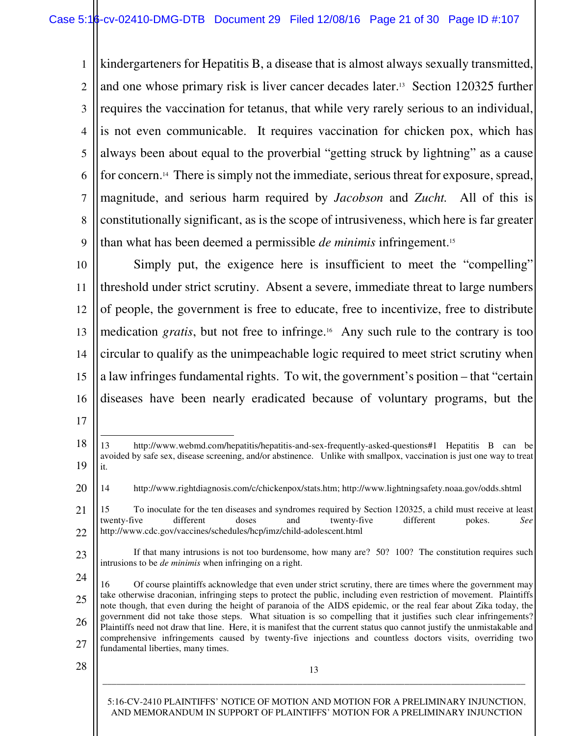1 2 3 4 5 6 7 8 9 kindergarteners for Hepatitis B, a disease that is almost always sexually transmitted, and one whose primary risk is liver cancer decades later.13 Section 120325 further requires the vaccination for tetanus, that while very rarely serious to an individual, is not even communicable. It requires vaccination for chicken pox, which has always been about equal to the proverbial "getting struck by lightning" as a cause for concern.14 There is simply not the immediate, serious threat for exposure, spread, magnitude, and serious harm required by *Jacobson* and *Zucht.* All of this is constitutionally significant, as is the scope of intrusiveness, which here is far greater than what has been deemed a permissible *de minimis* infringement.<sup>15</sup>

10 11 12 13 14 15 16 Simply put, the exigence here is insufficient to meet the "compelling" threshold under strict scrutiny. Absent a severe, immediate threat to large numbers of people, the government is free to educate, free to incentivize, free to distribute medication *gratis*, but not free to infringe.16 Any such rule to the contrary is too circular to qualify as the unimpeachable logic required to meet strict scrutiny when a law infringes fundamental rights. To wit, the government's position – that "certain diseases have been nearly eradicated because of voluntary programs, but the

 $\overline{\phantom{0}}$ 

28

<sup>17</sup>

<sup>18</sup> 19 13 http://www.webmd.com/hepatitis/hepatitis-and-sex-frequently-asked-questions#1 Hepatitis B can be avoided by safe sex, disease screening, and/or abstinence. Unlike with smallpox, vaccination is just one way to treat it.

<sup>20</sup> 14 http://www.rightdiagnosis.com/c/chickenpox/stats.htm; http://www.lightningsafety.noaa.gov/odds.shtml

<sup>21</sup> 22 15 To inoculate for the ten diseases and syndromes required by Section 120325, a child must receive at least twenty-five different doses and twenty-five different pokes. *See* http://www.cdc.gov/vaccines/schedules/hcp/imz/child-adolescent.html

<sup>23</sup>

If that many intrusions is not too burdensome, how many are? 50? 100? The constitution requires such intrusions to be *de minimis* when infringing on a right.

<sup>24</sup> 25 26 27 16 Of course plaintiffs acknowledge that even under strict scrutiny, there are times where the government may take otherwise draconian, infringing steps to protect the public, including even restriction of movement. Plaintiffs note though, that even during the height of paranoia of the AIDS epidemic, or the real fear about Zika today, the government did not take those steps. What situation is so compelling that it justifies such clear infringements? Plaintiffs need not draw that line. Here, it is manifest that the current status quo cannot justify the unmistakable and comprehensive infringements caused by twenty-five injections and countless doctors visits, overriding two fundamental liberties, many times.

<sup>5:16-</sup>CV-2410 PLAINTIFFS' NOTICE OF MOTION AND MOTION FOR A PRELIMINARY INJUNCTION, AND MEMORANDUM IN SUPPORT OF PLAINTIFFS' MOTION FOR A PRELIMINARY INJUNCTION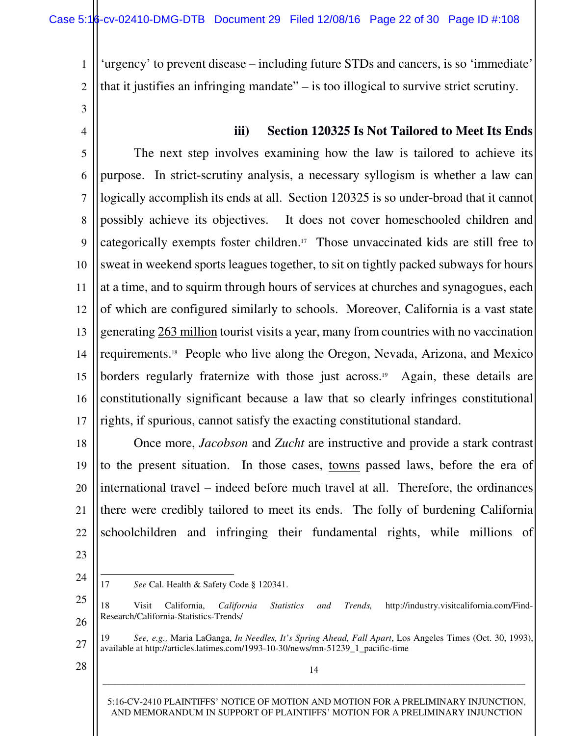'urgency' to prevent disease – including future STDs and cancers, is so 'immediate' that it justifies an infringing mandate" – is too illogical to survive strict scrutiny.

3

4

1

2

#### **iii) Section 120325 Is Not Tailored to Meet Its Ends**

5 6 7 8 9 10 11 12 13 14 15 16 17 The next step involves examining how the law is tailored to achieve its purpose. In strict-scrutiny analysis, a necessary syllogism is whether a law can logically accomplish its ends at all. Section 120325 is so under-broad that it cannot possibly achieve its objectives. It does not cover homeschooled children and categorically exempts foster children.17 Those unvaccinated kids are still free to sweat in weekend sports leagues together, to sit on tightly packed subways for hours at a time, and to squirm through hours of services at churches and synagogues, each of which are configured similarly to schools. Moreover, California is a vast state generating 263 million tourist visits a year, many from countries with no vaccination requirements.18 People who live along the Oregon, Nevada, Arizona, and Mexico borders regularly fraternize with those just across. <sup>19</sup> Again, these details are constitutionally significant because a law that so clearly infringes constitutional rights, if spurious, cannot satisfy the exacting constitutional standard.

18 19 20 21 22 Once more, *Jacobson* and *Zucht* are instructive and provide a stark contrast to the present situation. In those cases, towns passed laws, before the era of international travel – indeed before much travel at all. Therefore, the ordinances there were credibly tailored to meet its ends. The folly of burdening California schoolchildren and infringing their fundamental rights, while millions of

23 24

 $\overline{\phantom{0}}$ 

17 *See* Cal. Health & Safety Code § 120341.

- 19 *See, e.g.,* Maria LaGanga, *In Needles, It's Spring Ahead, Fall Apart*, Los Angeles Times (Oct. 30, 1993), available at http://articles.latimes.com/1993-10-30/news/mn-51239\_1\_pacific-time
- 28

27

14 \_\_\_\_\_\_\_\_\_\_\_\_\_\_\_\_\_\_\_\_\_\_\_\_\_\_\_\_\_\_\_\_\_\_\_\_\_\_\_\_\_\_\_\_\_\_\_\_\_\_\_\_\_\_\_\_\_\_\_\_\_\_\_\_\_\_\_\_\_\_\_\_\_\_\_\_\_\_\_\_\_\_\_\_\_\_\_\_\_\_\_

<sup>25</sup> 26 18 Visit California, *California Statistics and Trends,* http://industry.visitcalifornia.com/Find-Research/California-Statistics-Trends/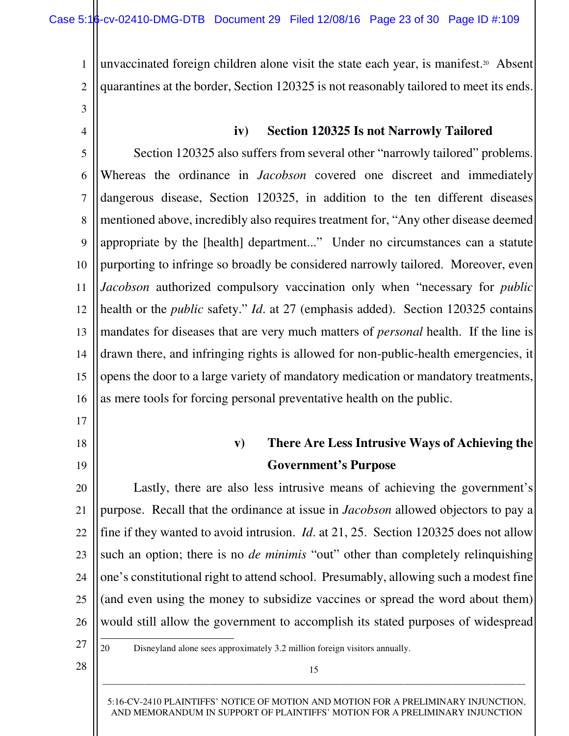1 2 unvaccinated foreign children alone visit the state each year, is manifest.<sup>20</sup> Absent quarantines at the border, Section 120325 is not reasonably tailored to meet its ends.

3

4

#### **iv) Section 120325 Is not Narrowly Tailored**

5 6 7 8 9 10 11 12 13 14 15 16 Section 120325 also suffers from several other "narrowly tailored" problems. Whereas the ordinance in *Jacobson* covered one discreet and immediately dangerous disease, Section 120325, in addition to the ten different diseases mentioned above, incredibly also requires treatment for, "Any other disease deemed appropriate by the [health] department..." Under no circumstances can a statute purporting to infringe so broadly be considered narrowly tailored. Moreover, even *Jacobson* authorized compulsory vaccination only when "necessary for *public* health or the *public* safety." *Id*. at 27 (emphasis added). Section 120325 contains mandates for diseases that are very much matters of *personal* health. If the line is drawn there, and infringing rights is allowed for non-public-health emergencies, it opens the door to a large variety of mandatory medication or mandatory treatments, as mere tools for forcing personal preventative health on the public.

18

17

- 
- 19

## **v) There Are Less Intrusive Ways of Achieving the Government's Purpose**

20 21 22 23 24 25 26 Lastly, there are also less intrusive means of achieving the government's purpose. Recall that the ordinance at issue in *Jacobson* allowed objectors to pay a fine if they wanted to avoid intrusion. *Id*. at 21, 25. Section 120325 does not allow such an option; there is no *de minimis* "out" other than completely relinquishing one's constitutional right to attend school. Presumably, allowing such a modest fine (and even using the money to subsidize vaccines or spread the word about them) would still allow the government to accomplish its stated purposes of widespread

27

 $\overline{\phantom{0}}$ 

20 Disneyland alone sees approximately 3.2 million foreign visitors annually.

28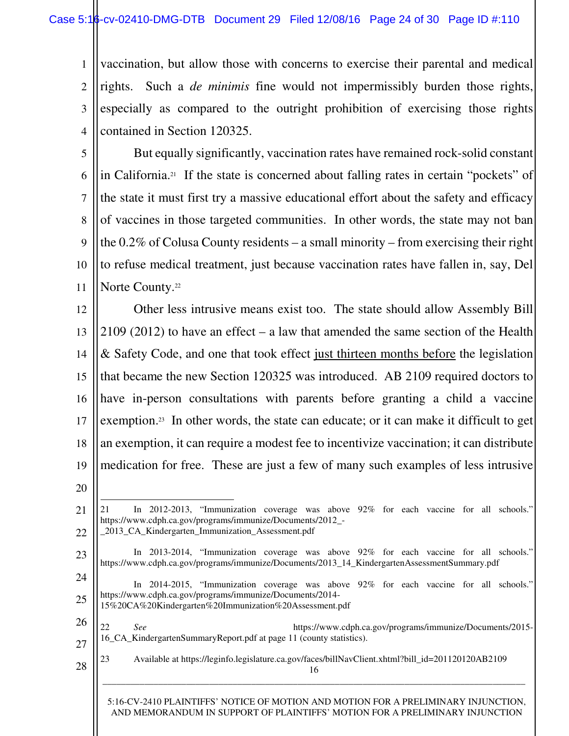1 2 3 4 vaccination, but allow those with concerns to exercise their parental and medical rights. Such a *de minimis* fine would not impermissibly burden those rights, especially as compared to the outright prohibition of exercising those rights contained in Section 120325.

5 6 7 8 9 10 11 But equally significantly, vaccination rates have remained rock-solid constant in California.21 If the state is concerned about falling rates in certain "pockets" of the state it must first try a massive educational effort about the safety and efficacy of vaccines in those targeted communities. In other words, the state may not ban the 0.2% of Colusa County residents – a small minority – from exercising their right to refuse medical treatment, just because vaccination rates have fallen in, say, Del Norte County.<sup>22</sup>

12 13 14 15 16 17 18 19 20 Other less intrusive means exist too. The state should allow Assembly Bill 2109 (2012) to have an effect – a law that amended the same section of the Health & Safety Code, and one that took effect just thirteen months before the legislation that became the new Section 120325 was introduced. AB 2109 required doctors to have in-person consultations with parents before granting a child a vaccine exemption.<sup>23</sup> In other words, the state can educate; or it can make it difficult to get an exemption, it can require a modest fee to incentivize vaccination; it can distribute medication for free. These are just a few of many such examples of less intrusive

 $\overline{\phantom{0}}$ 

- 23 In 2013-2014, "Immunization coverage was above 92% for each vaccine for all schools." https://www.cdph.ca.gov/programs/immunize/Documents/2013\_14\_KindergartenAssessmentSummary.pdf
- 24 25 In 2014-2015, "Immunization coverage was above 92% for each vaccine for all schools." https://www.cdph.ca.gov/programs/immunize/Documents/2014- 15%20CA%20Kindergarten%20Immunization%20Assessment.pdf

26 27 22 *See* https://www.cdph.ca.gov/programs/immunize/Documents/2015- 16\_CA\_KindergartenSummaryReport.pdf at page 11 (county statistics).

16 28 23 Available at https://leginfo.legislature.ca.gov/faces/billNavClient.xhtml?bill\_id=201120120AB2109

5:16-CV-2410 PLAINTIFFS' NOTICE OF MOTION AND MOTION FOR A PRELIMINARY INJUNCTION, AND MEMORANDUM IN SUPPORT OF PLAINTIFFS' MOTION FOR A PRELIMINARY INJUNCTION

<sup>21</sup> 22 21 In 2012-2013, "Immunization coverage was above 92% for each vaccine for all schools." https://www.cdph.ca.gov/programs/immunize/Documents/2012\_- \_2013\_CA\_Kindergarten\_Immunization\_Assessment.pdf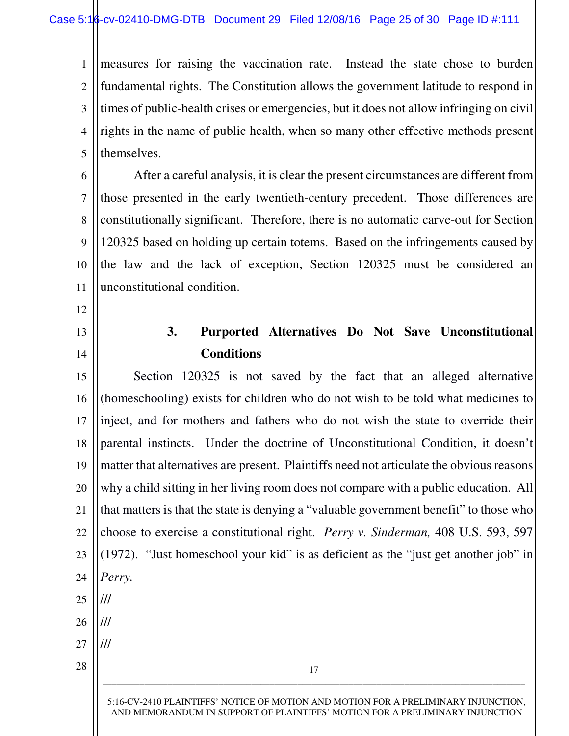1 2 3 4 5 measures for raising the vaccination rate. Instead the state chose to burden fundamental rights. The Constitution allows the government latitude to respond in times of public-health crises or emergencies, but it does not allow infringing on civil rights in the name of public health, when so many other effective methods present themselves.

6 7 8 9 10 11 After a careful analysis, it is clear the present circumstances are different from those presented in the early twentieth-century precedent. Those differences are constitutionally significant. Therefore, there is no automatic carve-out for Section 120325 based on holding up certain totems. Based on the infringements caused by the law and the lack of exception, Section 120325 must be considered an unconstitutional condition.

- 12
- 13 14

**3. Purported Alternatives Do Not Save Unconstitutional Conditions**

17 \_\_\_\_\_\_\_\_\_\_\_\_\_\_\_\_\_\_\_\_\_\_\_\_\_\_\_\_\_\_\_\_\_\_\_\_\_\_\_\_\_\_\_\_\_\_\_\_\_\_\_\_\_\_\_\_\_\_\_\_\_\_\_\_\_\_\_\_\_\_\_\_\_\_\_\_\_\_\_\_\_\_\_\_\_\_\_\_\_\_\_ 15 16 17 18 19 20 21 22 23 24 25 26 27 28 Section 120325 is not saved by the fact that an alleged alternative (homeschooling) exists for children who do not wish to be told what medicines to inject, and for mothers and fathers who do not wish the state to override their parental instincts. Under the doctrine of Unconstitutional Condition, it doesn't matter that alternatives are present. Plaintiffs need not articulate the obvious reasons why a child sitting in her living room does not compare with a public education. All that matters is that the state is denying a "valuable government benefit" to those who choose to exercise a constitutional right. *Perry v. Sinderman,* 408 U.S. 593, 597 (1972). "Just homeschool your kid" is as deficient as the "just get another job" in *Perry.* /// /// ///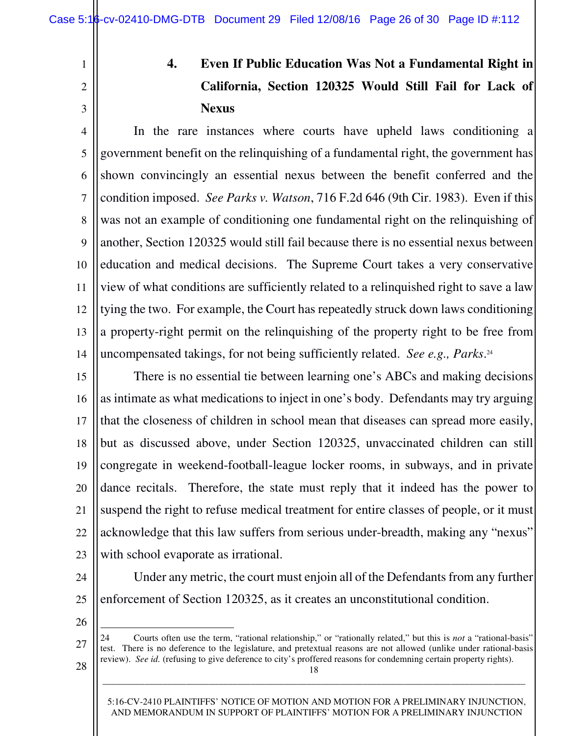1

2

3

# **4. Even If Public Education Was Not a Fundamental Right in California, Section 120325 Would Still Fail for Lack of Nexus**

4 5 6 7 8 9 10 11 12 13 14 In the rare instances where courts have upheld laws conditioning a government benefit on the relinquishing of a fundamental right, the government has shown convincingly an essential nexus between the benefit conferred and the condition imposed. *See Parks v. Watson*, 716 F.2d 646 (9th Cir. 1983). Even if this was not an example of conditioning one fundamental right on the relinquishing of another, Section 120325 would still fail because there is no essential nexus between education and medical decisions. The Supreme Court takes a very conservative view of what conditions are sufficiently related to a relinquished right to save a law tying the two. For example, the Court has repeatedly struck down laws conditioning a property-right permit on the relinquishing of the property right to be free from uncompensated takings, for not being sufficiently related. *See e.g., Parks*. 24

15 16 17 18 19 20 21 22 23 There is no essential tie between learning one's ABCs and making decisions as intimate as what medications to inject in one's body. Defendants may try arguing that the closeness of children in school mean that diseases can spread more easily, but as discussed above, under Section 120325, unvaccinated children can still congregate in weekend-football-league locker rooms, in subways, and in private dance recitals. Therefore, the state must reply that it indeed has the power to suspend the right to refuse medical treatment for entire classes of people, or it must acknowledge that this law suffers from serious under-breadth, making any "nexus" with school evaporate as irrational.

24

 Under any metric, the court must enjoin all of the Defendants from any further enforcement of Section 120325, as it creates an unconstitutional condition.

26

 $\overline{\phantom{0}}$ 

27

28

25

24 Courts often use the term, "rational relationship," or "rationally related," but this is *not* a "rational-basis" test. There is no deference to the legislature, and pretextual reasons are not allowed (unlike under rational-basis review). *See id.* (refusing to give deference to city's proffered reasons for condemning certain property rights).

18 \_\_\_\_\_\_\_\_\_\_\_\_\_\_\_\_\_\_\_\_\_\_\_\_\_\_\_\_\_\_\_\_\_\_\_\_\_\_\_\_\_\_\_\_\_\_\_\_\_\_\_\_\_\_\_\_\_\_\_\_\_\_\_\_\_\_\_\_\_\_\_\_\_\_\_\_\_\_\_\_\_\_\_\_\_\_\_\_\_\_\_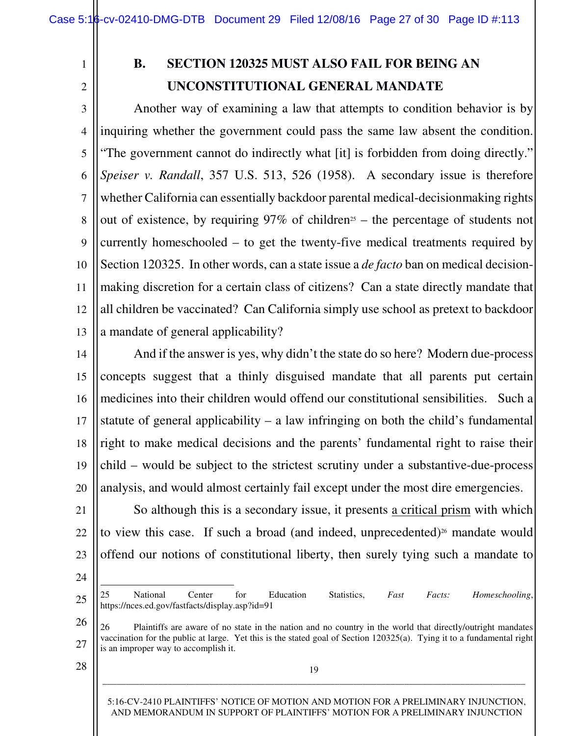1

2

# **B. SECTION 120325 MUST ALSO FAIL FOR BEING AN UNCONSTITUTIONAL GENERAL MANDATE**

3 4 5 6 7 8 9 10 11 12 13 Another way of examining a law that attempts to condition behavior is by inquiring whether the government could pass the same law absent the condition. "The government cannot do indirectly what [it] is forbidden from doing directly." *Speiser v. Randall*, 357 U.S. 513, 526 (1958). A secondary issue is therefore whether California can essentially backdoor parental medical-decisionmaking rights out of existence, by requiring  $97\%$  of children<sup>25</sup> – the percentage of students not currently homeschooled – to get the twenty-five medical treatments required by Section 120325. In other words, can a state issue a *de facto* ban on medical decisionmaking discretion for a certain class of citizens? Can a state directly mandate that all children be vaccinated? Can California simply use school as pretext to backdoor a mandate of general applicability?

14 15 16 17 18 19 20 And if the answer is yes, why didn't the state do so here? Modern due-process concepts suggest that a thinly disguised mandate that all parents put certain medicines into their children would offend our constitutional sensibilities. Such a statute of general applicability  $-$  a law infringing on both the child's fundamental right to make medical decisions and the parents' fundamental right to raise their child – would be subject to the strictest scrutiny under a substantive-due-process analysis, and would almost certainly fail except under the most dire emergencies.

21 22 23 So although this is a secondary issue, it presents a critical prism with which to view this case. If such a broad (and indeed, unprecedented)<sup>26</sup> mandate would offend our notions of constitutional liberty, then surely tying such a mandate to

24

 $\overline{\phantom{0}}$ 

25

26

27

19 \_\_\_\_\_\_\_\_\_\_\_\_\_\_\_\_\_\_\_\_\_\_\_\_\_\_\_\_\_\_\_\_\_\_\_\_\_\_\_\_\_\_\_\_\_\_\_\_\_\_\_\_\_\_\_\_\_\_\_\_\_\_\_\_\_\_\_\_\_\_\_\_\_\_\_\_\_\_\_\_\_\_\_\_\_\_\_\_\_\_\_

28

<sup>25</sup> National Center for Education Statistics, *Fast Facts: Homeschooling*, https://nces.ed.gov/fastfacts/display.asp?id=91

<sup>26</sup> Plaintiffs are aware of no state in the nation and no country in the world that directly/outright mandates vaccination for the public at large. Yet this is the stated goal of Section 120325(a). Tying it to a fundamental right is an improper way to accomplish it.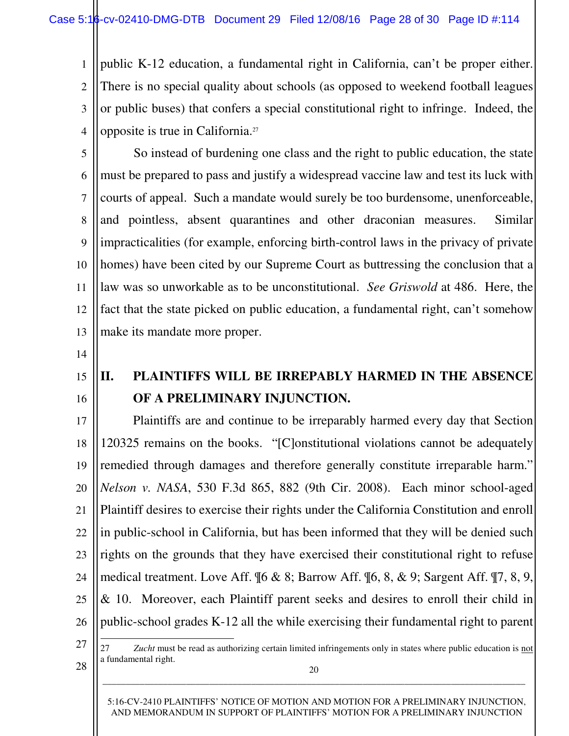1 2 3 4 public K-12 education, a fundamental right in California, can't be proper either. There is no special quality about schools (as opposed to weekend football leagues or public buses) that confers a special constitutional right to infringe. Indeed, the opposite is true in California.<sup>27</sup>

5 6 7 8 9 10 11 12 13 So instead of burdening one class and the right to public education, the state must be prepared to pass and justify a widespread vaccine law and test its luck with courts of appeal. Such a mandate would surely be too burdensome, unenforceable, and pointless, absent quarantines and other draconian measures. Similar impracticalities (for example, enforcing birth-control laws in the privacy of private homes) have been cited by our Supreme Court as buttressing the conclusion that a law was so unworkable as to be unconstitutional. *See Griswold* at 486. Here, the fact that the state picked on public education, a fundamental right, can't somehow make its mandate more proper.

- 14
- 15
- 16

# **II. PLAINTIFFS WILL BE IRREPABLY HARMED IN THE ABSENCE OF A PRELIMINARY INJUNCTION.**

17 18 19 20 21 22 23 24 25 26 Plaintiffs are and continue to be irreparably harmed every day that Section 120325 remains on the books. "[C]onstitutional violations cannot be adequately remedied through damages and therefore generally constitute irreparable harm." *Nelson v. NASA*, 530 F.3d 865, 882 (9th Cir. 2008). Each minor school-aged Plaintiff desires to exercise their rights under the California Constitution and enroll in public-school in California, but has been informed that they will be denied such rights on the grounds that they have exercised their constitutional right to refuse medical treatment. Love Aff. ¶6 & 8; Barrow Aff. ¶6, 8, & 9; Sargent Aff. ¶7, 8, 9, & 10. Moreover, each Plaintiff parent seeks and desires to enroll their child in public-school grades K-12 all the while exercising their fundamental right to parent

27

 $\overline{\phantom{0}}$ 

28

27 *Zucht* must be read as authorizing certain limited infringements only in states where public education is not a fundamental right.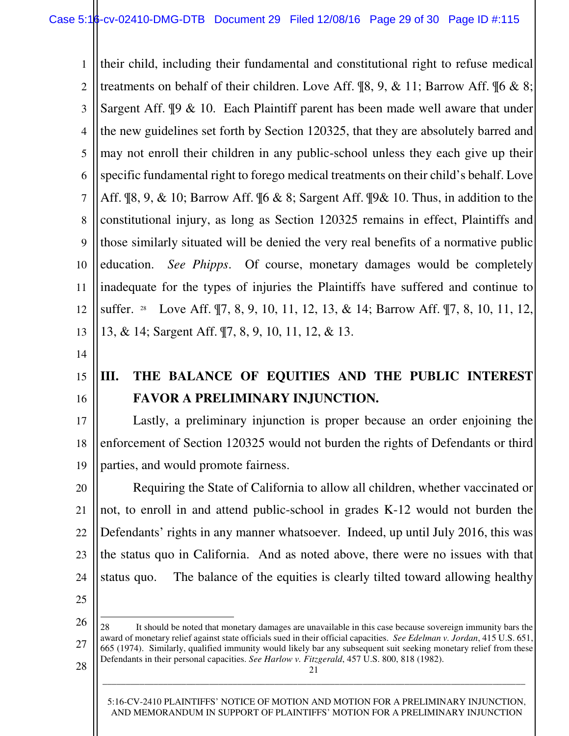1 2 3 4 5 6 7 8 9 10 11 12 13 their child, including their fundamental and constitutional right to refuse medical treatments on behalf of their children. Love Aff. ¶8, 9, & 11; Barrow Aff. ¶6 & 8; Sargent Aff. ¶9 & 10. Each Plaintiff parent has been made well aware that under the new guidelines set forth by Section 120325, that they are absolutely barred and may not enroll their children in any public-school unless they each give up their specific fundamental right to forego medical treatments on their child's behalf. Love Aff. ¶8, 9, & 10; Barrow Aff. ¶6 & 8; Sargent Aff. ¶9& 10. Thus, in addition to the constitutional injury, as long as Section 120325 remains in effect, Plaintiffs and those similarly situated will be denied the very real benefits of a normative public education. *See Phipps*. Of course, monetary damages would be completely inadequate for the types of injuries the Plaintiffs have suffered and continue to suffer. <sup>28</sup> Love Aff. ¶7, 8, 9, 10, 11, 12, 13, & 14; Barrow Aff. ¶7, 8, 10, 11, 12, 13, & 14; Sargent Aff. ¶7, 8, 9, 10, 11, 12, & 13.

- 14
- 15
- 16

# **III. THE BALANCE OF EQUITIES AND THE PUBLIC INTEREST FAVOR A PRELIMINARY INJUNCTION.**

17 18 19 Lastly, a preliminary injunction is proper because an order enjoining the enforcement of Section 120325 would not burden the rights of Defendants or third parties, and would promote fairness.

20 21 22 23 24 Requiring the State of California to allow all children, whether vaccinated or not, to enroll in and attend public-school in grades K-12 would not burden the Defendants' rights in any manner whatsoever. Indeed, up until July 2016, this was the status quo in California. And as noted above, there were no issues with that status quo. The balance of the equities is clearly tilted toward allowing healthy

25

 $\overline{\phantom{0}}$ 

26

27

21 28 It should be noted that monetary damages are unavailable in this case because sovereign immunity bars the award of monetary relief against state officials sued in their official capacities. *See Edelman v. Jordan*, 415 U.S. 651, 665 (1974). Similarly, qualified immunity would likely bar any subsequent suit seeking monetary relief from these Defendants in their personal capacities. *See Harlow v. Fitzgerald*, 457 U.S. 800, 818 (1982).

\_\_\_\_\_\_\_\_\_\_\_\_\_\_\_\_\_\_\_\_\_\_\_\_\_\_\_\_\_\_\_\_\_\_\_\_\_\_\_\_\_\_\_\_\_\_\_\_\_\_\_\_\_\_\_\_\_\_\_\_\_\_\_\_\_\_\_\_\_\_\_\_\_\_\_\_\_\_\_\_\_\_\_\_\_\_\_\_\_\_\_

28